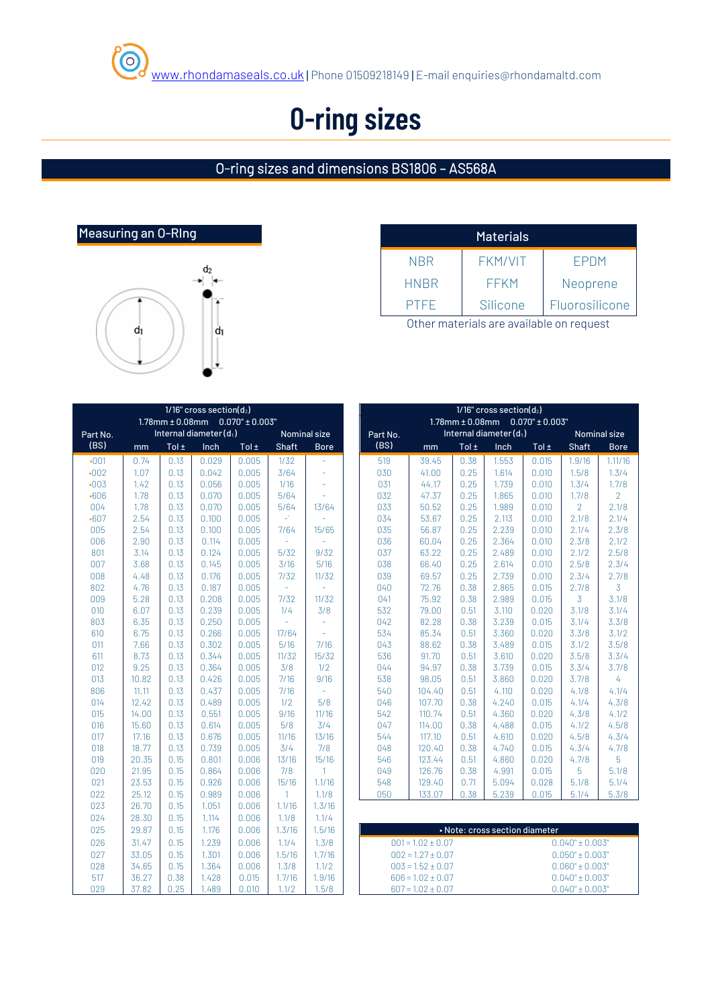## **O-ring sizes**

#### O-ring sizes and dimensions BS1806 – AS568A



|             | <b>Materials</b> |                |
|-------------|------------------|----------------|
| NBR         | <b>FKM/VIT</b>   | <b>FPDM</b>    |
| <b>HNBR</b> | <b>FFKM</b>      | Neoprene       |
| <b>PTFF</b> | Silicone         | Fluorosilicone |

Other materials are available on request

|            |                |              | IT TO CLOSS SECTION (02)                   |                |                  |                 | IT TO CLOSS SECTION (U2)                    |                                            |                       |              |                        |                                |                     |  |
|------------|----------------|--------------|--------------------------------------------|----------------|------------------|-----------------|---------------------------------------------|--------------------------------------------|-----------------------|--------------|------------------------|--------------------------------|---------------------|--|
|            |                |              | $1.78$ mm $\pm$ 0.08mm 0.070" $\pm$ 0.003" |                |                  |                 |                                             | $1.78$ mm $\pm$ 0.08mm 0.070" $\pm$ 0.003" |                       |              |                        |                                |                     |  |
| Part No.   |                |              | Internal diameter $(d_1)$                  |                |                  | Nominal size    |                                             | Part No.                                   |                       |              | Internal diameter (d1) |                                | Nominal             |  |
| (BS)       | mm             | Tol $\pm$    | Inch                                       | Tol $\pm$      | <b>Shaft</b>     | <b>Bore</b>     |                                             | (BS)                                       | mm                    | Tol $\pm$    | Inch                   | Tol $\pm$                      | Shaft               |  |
| $-001$     | 0.74           | 0.13         | 0.029                                      | 0.005          | 1/32             | ä,              |                                             | 519                                        | 39.45                 | 0.38         | 1.553                  | 0.015                          | 1.9/16              |  |
| $-002$     | 1.07           | 0.13         | 0.042                                      | 0.005          | 3/64             | ÷               |                                             | 030                                        | 41.00                 | 0.25         | 1.614                  | 0.010                          | 1.5/8               |  |
| $-003$     | 1.42           | 0.13         | 0.056                                      | 0.005          | 1/16             | L.              |                                             | 031                                        | 44.17                 | 0.25         | 1.739                  | 0.010                          | 1.3/4               |  |
| $-606$     | 1.78           | 0.13         | 0.070                                      | 0.005          | 5/64             | ä,              |                                             | 032                                        | 47.37                 | 0.25         | 1.865                  | 0.010                          | 1.7/8               |  |
| 004        | 1.78           | 0.13         | 0.070                                      | 0.005          | 5/64             | 13/64           |                                             | 033                                        | 50.52                 | 0.25         | 1.989                  | 0.010                          | $\overline{2}$      |  |
| $-607$     | 2.54           | 0.13         | 0.100                                      | 0.005          | $\omega^{\star}$ |                 |                                             | 034                                        | 53.67                 | 0.25         | 2.113                  | 0.010                          | 2.1/8               |  |
| 005        | 2.54           | 0.13         | 0.100                                      | 0.005          | 7/64             | 15/65           |                                             | 035                                        | 56.87                 | 0.25         | 2.239                  | 0.010                          | 2.1/4               |  |
| 006        | 2.90           | 0.13         | 0.114                                      | 0.005          |                  |                 |                                             | 036                                        | 60.04                 | 0.25         | 2.364                  | 0.010                          | 2.3/8               |  |
| 801        | 3.14           | 0.13         | 0.124                                      | 0.005          | $5/32$           | 9/32            |                                             | 037                                        | 63.22                 | 0.25         | 2.489                  | 0.010                          | 2.1/2               |  |
| 007        | 3.68           | 0.13         | 0.145                                      | 0.005          | 3/16             | 5/16            |                                             | 038                                        | 66.40                 | 0.25         | 2.614                  | 0.010                          | 2.5/8               |  |
| 008        | 4.48           | 0.13         | 0.176                                      | 0.005          | 7/32             | 11/32           |                                             | 039                                        | 69.57                 | 0.25         | 2.739                  | 0.010                          | 2.3/4               |  |
| 802        | 4.76           | 0.13         | 0.187                                      | 0.005          |                  |                 |                                             | 040                                        | 72.76                 | 0.38         | 2.865                  | 0.015                          | 2.7/8               |  |
| 009        | 5.28           | 0.13         | 0.208                                      | 0.005          | 7/32             | 11/32           |                                             | 041                                        | 75.92                 | 0.38         | 2.989                  | 0.015                          | $\overline{3}$      |  |
| 010        | 6.07           | 0.13         | 0.239                                      | 0.005          | 1/4              | 3/8             |                                             | 532                                        | 79.00                 | 0.51         | 3.110                  | 0.020                          | 3.1/8               |  |
| 803        | 6.35           | 0.13         | 0.250                                      | 0.005          | L,               | ä,              |                                             | 042                                        | 82.28                 | 0.38         | 3.239                  | 0.015                          | 3.1/4               |  |
| 610        | 6.75           | 0.13         | 0.266                                      | 0.005          | 17/64            | ÷               |                                             | 534                                        | 85.34                 | 0.51         | 3.360                  | 0.020                          | 3.3/8               |  |
| 011        | 7.66           | 0.13         | 0.302                                      | 0.005          | 5/16             | 7/16            |                                             | 043                                        | 88.62                 | 0.38         | 3.489                  | 0.015                          | 3.1/2               |  |
| 611        | 8.73           | 0.13         | 0.344                                      | 0.005          | 11/32            | 15/32           |                                             | 536                                        | 91.70                 | 0.51         | 3.610                  | 0.020                          | 3.5/8               |  |
| 012        | 9.25           | 0.13         | 0.364                                      | 0.005          | 3/8              | 1/2             |                                             | 044                                        | 94.97                 | 0.38         | 3.739                  | 0.015                          | 3.3/4               |  |
| 013        | 10.82          | 0.13         | 0.426                                      | 0.005          | 7/16             | 9/16            |                                             | 538                                        | 98.05                 | 0.51         | 3.860                  | 0.020                          | 3.7/8               |  |
| 806        | 11.11          | 0.13         | 0.437                                      | 0.005          | 7/16             | L,              |                                             | 540                                        | 104.40                | 0.51         | 4.110                  | 0.020                          | 4.1/8               |  |
| 014        | 12.42          | 0.13         | 0.489                                      | 0.005          | 1/2              | 5/8             |                                             | 046                                        | 107.70                | 0.38         | 4.240                  | 0.015                          | 4.1/4               |  |
| 015        | 14.00          | 0.13         | 0.551                                      | 0.005          | 9/16             | 11/16           |                                             | 542                                        | 110.74                | 0.51         | 4.360                  | 0.020                          | 4.3/8               |  |
| 016        | 15.60          | 0.13         | 0.614                                      | 0.005          | 5/8              | 3/4             |                                             | 047                                        | 114.00                | 0.38         | 4.488                  | 0.015                          | 4.1/2               |  |
| 017        | 17.16          | 0.13         | 0.676                                      | 0.005          | 11/16            | 13/16           |                                             | 544                                        | 117.10                | 0.51         | 4.610                  | 0.020                          | 4.5/8               |  |
| 018        | 18.77          | 0.13         | 0.739                                      | 0.005          | 3/4              | 7/8             |                                             | 048                                        | 120.40                | 0.38         | 4.740                  | 0.015                          | 4.3/4               |  |
| 019        | 20.35          | 0.15         | 0.801                                      | 0.006          | 13/16            | 15/16           |                                             | 546                                        | 123.44                | 0.51         | 4.860                  | 0.020                          | 4.7/8               |  |
| 020<br>021 | 21.95<br>23.53 | 0.15<br>0.15 | 0.864<br>0.926                             | 0.006<br>0.006 | 7/8<br>15/16     | $\mathbf{1}$    |                                             | 049<br>548                                 | 126.76<br>129.40      | 0.38<br>0.71 | 4.991<br>5.094         | 0.015<br>0.028                 | 5<br>5.1/8          |  |
| 022        | 25.12          | 0.15         | 0.989                                      | 0.006          | $\overline{1}$   | 1.1/16<br>1.1/8 |                                             | 050                                        | 133.07                | 0.38         | 5.239                  | 0.015                          | 5.1/4               |  |
| 023        | 26.70          | 0.15         | 1.051                                      | 0.006          | 1.1/16           | 1.3/16          |                                             |                                            |                       |              |                        |                                |                     |  |
| 024        | 28.30          | 0.15         | 1.114                                      | 0.006          | 1.1/8            | 1.1/4           |                                             |                                            |                       |              |                        |                                |                     |  |
|            |                |              |                                            |                |                  |                 |                                             |                                            |                       |              |                        |                                |                     |  |
| 025        | 29.87          | 0.15         | 1.176                                      | 0.006          | 1.3/16           | 1.5/16          |                                             |                                            |                       |              |                        | • Note: cross section diameter |                     |  |
| 026        | 31.47          | 0.15         | 1.239                                      | 0.006          | 1.1/4            | 1.3/8           |                                             |                                            | $001 = 1.02 \pm 0.07$ |              |                        |                                | $0.040" \pm 0.003'$ |  |
| 027        | 33.05          | 0.15         | 1.301                                      | 0.006          | 1.5/16           | 1.7/16          |                                             |                                            | $002 = 1.27 \pm 0.07$ |              |                        |                                | $0.050" \pm 0.003'$ |  |
| 028        | 34.65          | 0.15         | 1.364                                      | 0.006          | 1.3/8            | 1.1/2           |                                             |                                            | $003 = 1.52 \pm 0.07$ |              |                        |                                | $0.060" \pm 0.003'$ |  |
| 517        | 36.27          | 0.38         | 1.428                                      | 0.015          | 1.7/16           | 1.9/16          |                                             |                                            | $606 = 1.02 \pm 0.07$ |              |                        |                                | $0.040" \pm 0.003'$ |  |
| 029        | 37.82          | 0.25         | 1.489                                      | 0.010          | 1.1/2            | 1.5/8           | $607 = 1.02 \pm 0.07$<br>$0.040" \pm 0.003$ |                                            |                       |              |                        |                                |                     |  |

|         | $1/16$ " cross section( $d_2$ ) |      |                                            |       |                            |             |  |
|---------|---------------------------------|------|--------------------------------------------|-------|----------------------------|-------------|--|
|         |                                 |      | $1.78$ mm $\pm$ 0.08mm 0.070" $\pm$ 0.003" |       |                            |             |  |
| art No. |                                 |      | Internal diameter (d1)                     |       | <b>Nominal size</b>        |             |  |
| (BS)    | mm                              | Tol± | Inch                                       | Tol ± | Shaft                      | <b>Bore</b> |  |
| $-001$  | 0.74                            | 0.13 | 0.029                                      | 0.005 | 1/32                       |             |  |
| .002    | 1.07                            | 0.13 | 0.042                                      | 0.005 | 3/64                       |             |  |
| $-003$  | 1.42                            | 0.13 | 0.056                                      | 0.005 | 1/16                       |             |  |
| $-606$  | 1.78                            | 0.13 | 0.070                                      | 0.005 | 5/64                       |             |  |
| 004     | 1.78                            | 0.13 | 0.070                                      | 0.005 | 5/64                       | 13/64       |  |
| $-607$  | 2.54                            | 0.13 | 0.100                                      | 0.005 | $\mathbb{L}^{\mathcal{N}}$ |             |  |
| 005     | 2.54                            | 0.13 | 0.100                                      | 0.005 | 7/64                       | 15/65       |  |
| 006     | 2.90                            | 0.13 | 0.114                                      | 0.005 |                            |             |  |
| 801     | 3.14                            | 0.13 | 0.124                                      | 0.005 | 5/32                       | 9/32        |  |
| 007     | 3.68                            | 0.13 | 0.145                                      | 0.005 | 3/16                       | 5/16        |  |
| 008     | 4.48                            | 0.13 | 0.176                                      | 0.005 | 7/32                       | 11/32       |  |
| 802     | 4.76                            | 0.13 | 0.187                                      | 0.005 | $\equiv$                   |             |  |
| 009     | 5.28                            | 0.13 | 0.208                                      | 0.005 | 7/32                       | 11/32       |  |
| 010     | 6.07                            | 0.13 | 0.239                                      | 0.005 | 1/4                        | 3/8         |  |
| 803     | 6.35                            | 0.13 | 0.250                                      | 0.005 |                            |             |  |
| 610     | 6.75                            | 0.13 | 0.266                                      | 0.005 | 17/64                      |             |  |
| 011     | 7.66                            | 0.13 | 0.302                                      | 0.005 | 5/16                       | 7/16        |  |
| 611     | 8.73                            | 0.13 | 0.344                                      | 0.005 | 11/32                      | 15/32       |  |
| 012     | 9.25                            | 0.13 | 0.364                                      | 0.005 | 3/8                        | 1/2         |  |
| 013     | 10.82                           | 0.13 | 0.426                                      | 0.005 | 7/16                       | 9/16        |  |
| 806     | 11.11                           | 0.13 | 0.437                                      | 0.005 | 7/16                       |             |  |
| 014     | 12.42                           | 0.13 | 0.489                                      | 0.005 | 1/2                        | 5/8         |  |
| 015     | 14.00                           | 0.13 | 0.551                                      | 0.005 | 9/16                       | 11/16       |  |
| 016     | 15.60                           | 0.13 | 0.614                                      | 0.005 | 5/8                        | 3/4         |  |
| 017     | 17.16                           | 0.13 | 0.676                                      | 0.005 | 11/16                      | 13/16       |  |
| 018     | 18.77                           | 0.13 | 0.739                                      | 0.005 | 3/4                        | 7/8         |  |
| 019     | 20.35                           | 0.15 | 0.801                                      | 0.006 | 13/16                      | 15/16       |  |
| 020     | 21.95                           | 0.15 | 0.864                                      | 0.006 | 7/8                        |             |  |
| 021     | 23.53                           | 0.15 | 0.926                                      | 0.006 | 15/16                      | 1.1/16      |  |
| 022     | 25.12                           | 0.15 | 0.989                                      | 0.006 |                            | 1.1/8       |  |
| 027     | <b>28.70</b>                    | 0.15 | $10$ $E1$                                  | 0.008 | 11/10                      | 1.7/10      |  |

| • Note: cross section diameter |                   |  |  |  |  |  |  |  |  |
|--------------------------------|-------------------|--|--|--|--|--|--|--|--|
| $001 = 1.02 + 0.07$            | $0.040" + 0.003"$ |  |  |  |  |  |  |  |  |
| $002 = 1.27 + 0.07$            | $0.050" + 0.003"$ |  |  |  |  |  |  |  |  |
| $0.03 = 1.52 + 0.07$           | $0.060" + 0.003"$ |  |  |  |  |  |  |  |  |
| $606 = 1.02 + 0.07$            | $0.040" + 0.003"$ |  |  |  |  |  |  |  |  |
| $607 = 1.02 + 0.07$            | $0.040" + 0.003"$ |  |  |  |  |  |  |  |  |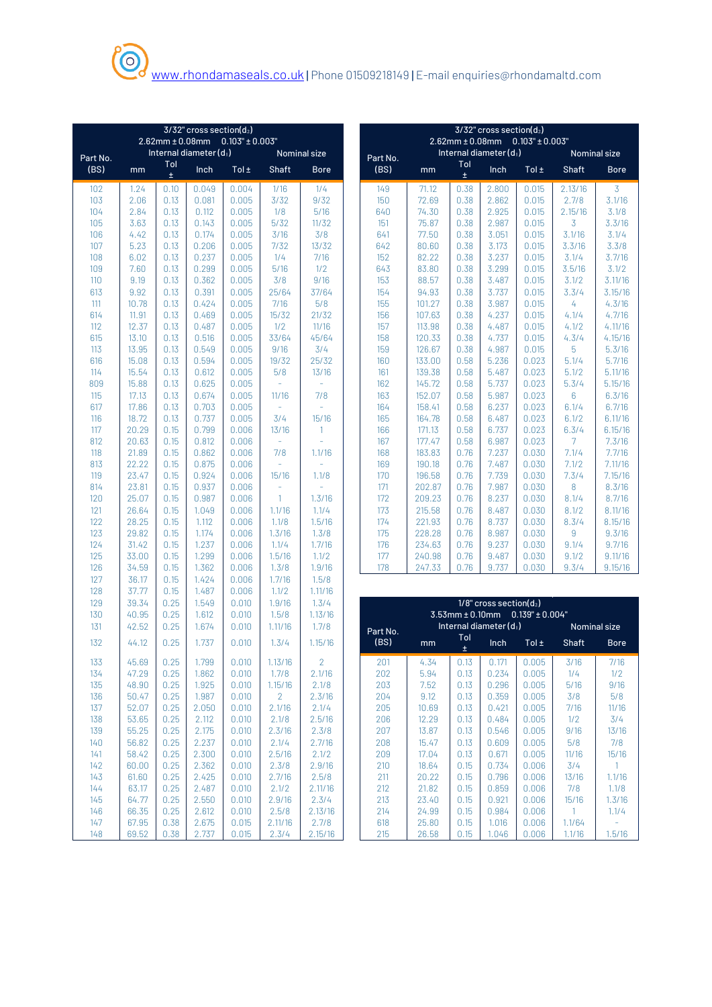|          |       | $3/32$ " cross section( $d_2$ ) |                        |                                            |                |                        |  |            |                         |              | $3/32$ " cross section( $d_2$ ) |                                            |                |
|----------|-------|---------------------------------|------------------------|--------------------------------------------|----------------|------------------------|--|------------|-------------------------|--------------|---------------------------------|--------------------------------------------|----------------|
|          |       |                                 |                        | $2.62$ mm $\pm$ 0.08mm 0.103" $\pm$ 0.003" |                |                        |  |            |                         |              |                                 | $2.62$ mm $\pm$ 0.08mm 0.103" $\pm$ 0.003" |                |
|          |       |                                 | Internal diameter (d1) |                                            |                | Nominal size           |  |            |                         |              | Internal diameter (d1)          |                                            |                |
| Part No. |       | Tol                             |                        |                                            |                |                        |  | Part No.   |                         | Tol          |                                 |                                            |                |
| (BS)     | mm    | $\pm$                           | Inch                   | Tol $\pm$                                  | Shaft          | <b>Bore</b>            |  | (BS)       | mm                      | $\pm$        | Inch                            | Tol $\pm$                                  | S              |
| 102      | 1.24  | 0.10                            | 0.049                  | 0.004                                      | 1/16           | 1/4                    |  | 149        | 71.12                   | 0.38         | 2.800                           | 0.015                                      | $\overline{2}$ |
| 103      | 2.06  | 0.13                            | 0.081                  | 0.005                                      | 3/32           | 9/32                   |  | 150        | 72.69                   | 0.38         | 2.862                           | 0.015                                      | 5              |
| 104      | 2.84  | 0.13                            | 0.112                  | 0.005                                      | 1/8            | 5/16                   |  | 640        | 74.30                   | 0.38         | 2.925                           | 0.015                                      | $\overline{2}$ |
| 105      | 3.63  | 0.13                            | 0.143                  | 0.005                                      | 5/32           | 11/32                  |  | 151        | 75.87                   | 0.38         | 2.987                           | 0.015                                      |                |
| 106      | 4.42  | 0.13                            | 0.174                  | 0.005                                      | 3/16           | 3/8                    |  | 641        | 77.50                   | 0.38         | 3.051                           | 0.015                                      | 3              |
| 107      | 5.23  | 0.13                            | 0.206                  | 0.005                                      | 7/32           | 13/32                  |  | 642        | 80.60                   | 0.38         | 3.173                           | 0.015                                      | $\overline{3}$ |
| 108      | 6.02  | 0.13                            | 0.237                  | 0.005                                      | 1/4            | 7/16                   |  | 152        | 82.22                   | 0.38         | 3.237                           | 0.015                                      |                |
| 109      | 7.60  | 0.13                            | 0.299                  | 0.005                                      | 5/16           | 1/2                    |  | 643        | 83.80                   | 0.38         | 3.299                           | 0.015                                      | 3              |
| 110      | 9.19  | 0.13                            | 0.362                  | 0.005                                      | 3/8            | 9/16                   |  | 153        | 88.57                   | 0.38         | 3.487                           | 0.015                                      |                |
| 613      | 9.92  | 0.13                            | 0.391                  | 0.005                                      | 25/64          | 37/64                  |  | 154        | 94.93                   | 0.38         | 3.737                           | 0.015                                      |                |
| 111      | 10.78 | 0.13                            | 0.424                  | 0.005                                      | 7/16           | 5/8                    |  | 155        | 101.27                  | 0.38         | 3.987                           | 0.015                                      |                |
| 614      | 11.91 | 0.13                            | 0.469                  | 0.005                                      | 15/32          | 21/32                  |  | 156        | 107.63                  | 0.38         | 4.237                           | 0.015                                      |                |
| 112      | 12.37 | 0.13                            | 0.487                  | 0.005                                      | 1/2            | 11/16                  |  | 157        | 113.98                  | 0.38         | 4.487                           | 0.015                                      |                |
| 615      | 13.10 | 0.13                            | 0.516                  | 0.005                                      | 33/64          | 45/64                  |  | 158        | 120.33                  | 0.38         | 4.737                           | 0.015                                      |                |
| 113      | 13.95 | 0.13                            | 0.549                  | 0.005                                      | 9/16           | 3/4                    |  | 159        | 126.67                  | 0.38         | 4.987                           | 0.015                                      |                |
| 616      | 15.08 | 0.13                            | 0.594                  | 0.005                                      | 19/32          | 25/32                  |  | 160        | 133.00                  | 0.58         | 5.236                           | 0.023                                      |                |
| 114      | 15.54 | 0.13                            | 0.612                  | 0.005                                      | 5/8            | 13/16                  |  | 161        | 139.38                  | 0.58         | 5.487                           | 0.023                                      |                |
| 809      | 15.88 | 0.13                            | 0.625                  | 0.005                                      | ÷,             | ÷,                     |  | 162        | 145.72                  | 0.58         | 5.737                           | 0.023                                      |                |
| 115      | 17.13 | 0.13                            | 0.674                  | 0.005                                      | 11/16          | 7/8                    |  | 163        | 152.07                  | 0.58         | 5.987                           | 0.023                                      |                |
| 617      | 17.86 | 0.13                            | 0.703                  | 0.005                                      |                |                        |  | 164        | 158.41                  | 0.58         | 6.237                           | 0.023                                      |                |
| 116      | 18.72 | 0.13                            | 0.737                  | 0.005                                      | 3/4            | 15/16                  |  | 165        | 164.78                  | 0.58         | 6.487                           | 0.023                                      |                |
| 117      | 20.29 | 0.15                            | 0.799                  | 0.006                                      | 13/16          | 1                      |  | 166        | 171.13                  | 0.58         | 6.737                           | 0.023                                      | P              |
| 812      | 20.63 | 0.15                            | 0.812                  | 0.006                                      | $\equiv$       |                        |  | 167        | 177.47                  | 0.58         | 6.987                           | 0.023                                      |                |
| 118      | 21.89 | 0.15                            | 0.862                  | 0.006                                      | 7/8            | 1.1/16                 |  | 168        | 183.83                  | 0.76         | 7.237                           | 0.030                                      |                |
| 813      | 22.22 | 0.15                            | 0.875                  | 0.006                                      |                |                        |  | 169        | 190.18                  | 0.76         | 7.487                           | 0.030                                      |                |
| 119      | 23.47 | 0.15                            | 0.924                  | 0.006                                      | 15/16          | 1.1/8                  |  | 170        | 196.58                  | 0.76         | 7.739                           | 0.030                                      |                |
| 814      | 23.81 | 0.15                            | 0.937                  | 0.006                                      | ÷,             |                        |  | 171        | 202.87                  | 0.76         | 7.987                           | 0.030                                      |                |
| 120      | 25.07 | 0.15                            | 0.987                  | 0.006                                      | 1              | 1.3/16                 |  | 172        | 209.23                  | 0.76         | 8.237                           | 0.030                                      |                |
| 121      | 26.64 | 0.15                            | 1.049                  | 0.006                                      | 1.1/16         | 1.1/4                  |  | 173        | 215.58                  | 0.76         | 8.487                           | 0.030                                      |                |
| 122      | 28.25 | 0.15                            | 1.112                  | 0.006                                      | 1.1/8          | 1.5/16                 |  | 174        | 221.93                  | 0.76         | 8.737                           | 0.030                                      |                |
| 123      | 29.82 | 0.15                            | 1.174                  | 0.006                                      | 1.3/16         | 1.3/8                  |  | 175        | 228.28                  | 0.76         | 8.987                           | 0.030                                      |                |
| 124      | 31.42 | 0.15                            | 1.237                  | 0.006                                      | 1.1/4          | 1.7/16                 |  | 176        | 234.63                  | 0.76         | 9.237                           | 0.030                                      |                |
| 125      | 33.00 | 0.15                            | 1.299                  | 0.006                                      | 1.5/16         | 1.1/2                  |  | 177        | 240.98                  | 0.76         | 9.487                           | 0.030                                      |                |
| 126      | 34.59 | 0.15                            | 1.362                  | 0.006                                      | 1.3/8          | 1.9/16                 |  | 178        | 247.33                  | 0.76         | 9.737                           | 0.030                                      |                |
| 127      | 36.17 | 0.15                            | 1.424                  | 0.006                                      | 1.7/16         | 1.5/8                  |  |            |                         |              |                                 |                                            |                |
| 128      | 37.77 | 0.15                            | 1.487                  | 0.006                                      | 1.1/2          | 1.11/16                |  |            |                         |              |                                 |                                            |                |
| 129      | 39.34 | 0.25                            | 1.549                  | 0.010                                      | 1.9/16         | 1.3/4                  |  |            |                         |              | $1/8$ " cross section( $d_2$ )  |                                            |                |
| 130      | 40.95 | 0.25                            | 1.612                  | 0.010                                      | 1.5/8          | 1.13/16                |  |            |                         |              |                                 | $3.53$ mm ± 0.10mm 0.139" ± 0.004'         |                |
| 131      | 42.52 | 0.25                            | 1.674                  | 0.010                                      | 1.11/16        | 1.7/8                  |  | Part No.   |                         |              | Internal diameter (d1)          |                                            |                |
| 132      | 44.12 | 0.25                            | 1.737                  | 0.010                                      | 1.3/4          | 1.15/16                |  | (BS)       | mm                      | Tol<br>$\pm$ | Inch                            | Tol $\pm$                                  | S              |
| 133      | 45.69 | 0.25                            | 1.799                  | 0.010                                      | 1.13/16        |                        |  |            | $4.34$ 0.13 0.171 0.005 |              |                                 |                                            |                |
| 134      | 47.29 | 0.25                            | 1.862                  | 0.010                                      | 1.7/8          | $\mathbf{2}$<br>2.1/16 |  | 201<br>202 | 5.94                    | 0.13         | 0.234                           | 0.005                                      |                |
| 135      | 48.90 | 0.25                            | 1.925                  | 0.010                                      | 1.15/16        | 2.1/8                  |  | 203        | 7.52                    | 0.13         | 0.296                           | 0.005                                      |                |
| 136      | 50.47 | 0.25                            | 1.987                  | 0.010                                      | $\overline{2}$ | 2.3/16                 |  | 204        | 9.12                    | 0.13         | 0.359                           | 0.005                                      |                |
| 137      | 52.07 | 0.25                            | 2.050                  | 0.010                                      | 2.1/16         | 2.1/4                  |  | 205        | 10.69                   | 0.13         | 0.421                           | 0.005                                      |                |
| 138      | 53.65 | 0.25                            | 2.112                  | 0.010                                      | 2.1/8          | 2.5/16                 |  | 206        | 12.29                   | 0.13         | 0.484                           | 0.005                                      |                |
| 139      | 55.25 | 0.25                            | 2.175                  | 0.010                                      | 2.3/16         | 2.3/8                  |  | 207        | 13.87                   | 0.13         | 0.546                           | 0.005                                      |                |
| 140      | 56.82 | 0.25                            | 2.237                  | 0.010                                      | 2.1/4          | 2.7/16                 |  | 208        | 15.47                   | 0.13         | 0.609                           | 0.005                                      |                |
| 141      | 58.42 | 0.25                            | 2.300                  | 0.010                                      | 2.5/16         | 2.1/2                  |  | 209        | 17.04                   | 0.13         | 0.671                           | 0.005                                      |                |
| 142      | 60.00 | 0.25                            | 2.362                  | 0.010                                      | 2.3/8          | 2.9/16                 |  | 210        | 18.64                   | 0.15         | 0.734                           | 0.006                                      |                |
| 143      | 61.60 | 0.25                            | 2.425                  | 0.010                                      | 2.7/16         | 2.5/8                  |  | 211        | 20.22                   | 0.15         | 0.796                           | 0.006                                      |                |
| 144      | 63.17 | 0.25                            | 2.487                  | 0.010                                      | 2.1/2          | 2.11/16                |  | 212        | 21.82                   | 0.15         | 0.859                           | 0.006                                      |                |
| 145      | 64.77 | 0.25                            | 2.550                  | 0.010                                      | 2.9/16         | 2.3/4                  |  | 213        | 23.40                   | 0.15         | 0.921                           | 0.006                                      |                |
| 146      | 66.35 | 0.25                            | 2.612                  | 0.010                                      | 2.5/8          | 2.13/16                |  | 214        | 24.99                   | 0.15         | 0.984                           | 0.006                                      |                |
| 147      | 67.95 | 0.38                            | 2.675                  | 0.015                                      | 2.11/16        | 2.7/8                  |  | 618        | 25.80                   | 0.15         | 1.016                           | 0.006                                      | 1              |
| 148      | 69.52 | 0.38                            | 2.737                  | 0.015                                      | 2.3/4          | 2.15/16                |  | 215        | 26.58                   | 0.15         | 1.046                           | 0.006                                      |                |

|        |       |              | $3/32$ " cross section( $d_2$ ) | $2.62$ mm $\pm$ 0.08mm 0.103" $\pm$ 0.003" |                          |                     |          | $3/32$ " cross section( $d_2$ )<br>$2.62$ mm $\pm$ 0.08mm 0.103" $\pm$ 0.003" |              |                        |           |                     |             |
|--------|-------|--------------|---------------------------------|--------------------------------------------|--------------------------|---------------------|----------|-------------------------------------------------------------------------------|--------------|------------------------|-----------|---------------------|-------------|
| rt No. |       |              | Internal diameter (d1)          |                                            |                          | <b>Nominal size</b> | Part No. |                                                                               |              | Internal diameter (d1) |           | <b>Nominal size</b> |             |
| (BS)   | mm    | Tol<br>$\pm$ | Inch                            | $Tol \pm$                                  | <b>Shaft</b>             | <b>Bore</b>         | (BS)     | mm                                                                            | Tol<br>$\pm$ | Inch                   | Tol $\pm$ | <b>Shaft</b>        | <b>Bore</b> |
| 102    | 1.24  | 0.10         | 0.049                           | 0.004                                      | 1/16                     | 1/4                 | 149      | 71.12                                                                         | 0.38         | 2.800                  | 0.015     | 2.13/16             | 3           |
| 103    | 2.06  | 0.13         | 0.081                           | 0.005                                      | 3/32                     | 9/32                | 150      | 72.69                                                                         | 0.38         | 2.862                  | 0.015     | 2.7/8               | 3.1/16      |
| 104    | 2.84  | 0.13         | 0.112                           | 0.005                                      | 1/8                      | 5/16                | 640      | 74.30                                                                         | 0.38         | 2.925                  | 0.015     | 2.15/16             | 3.1/8       |
| 105    | 3.63  | 0.13         | 0.143                           | 0.005                                      | 5/32                     | 11/32               | 151      | 75.87                                                                         | 0.38         | 2.987                  | 0.015     | 3                   | 3.3/16      |
| 106    | 4.42  | 0.13         | 0.174                           | 0.005                                      | 3/16                     | 3/8                 | 641      | 77.50                                                                         | 0.38         | 3.051                  | 0.015     | 3.1/16              | 3.1/4       |
| 107    | 5.23  | 0.13         | 0.206                           | 0.005                                      | 7/32                     | 13/32               | 642      | 80.60                                                                         | 0.38         | 3.173                  | 0.015     | 3.3/16              | 3.3/8       |
| 108    | 6.02  | 0.13         | 0.237                           | 0.005                                      | 1/4                      | 7/16                | 152      | 82.22                                                                         | 0.38         | 3.237                  | 0.015     | 3.1/4               | 3.7/16      |
| 109    | 7.60  | 0.13         | 0.299                           | 0.005                                      | 5/16                     | 1/2                 | 643      | 83.80                                                                         | 0.38         | 3.299                  | 0.015     | 3.5/16              | 3.1/2       |
| 110    | 9.19  | 0.13         | 0.362                           | 0.005                                      | 3/8                      | 9/16                | 153      | 88.57                                                                         | 0.38         | 3.487                  | 0.015     | 3.1/2               | 3.11/16     |
| 613    | 9.92  | 0.13         | 0.391                           | 0.005                                      | 25/64                    | 37/64               | 154      | 94.93                                                                         | 0.38         | 3.737                  | 0.015     | 3.3/4               | 3.15/16     |
| 111    | 10.78 | 0.13         | 0.424                           | 0.005                                      | 7/16                     | 5/8                 | 155      | 101.27                                                                        | 0.38         | 3.987                  | 0.015     | 4                   | 4.3/16      |
| 614    | 11.91 | 0.13         | 0.469                           | 0.005                                      | 15/32                    | 21/32               | 156      | 107.63                                                                        | 0.38         | 4.237                  | 0.015     | 4.1/4               | 4.7/16      |
| 112    | 12.37 | 0.13         | 0.487                           | 0.005                                      | 1/2                      | 11/16               | 157      | 113.98                                                                        | 0.38         | 4.487                  | 0.015     | 4.1/2               | 4.11/16     |
| 615    | 13.10 | 0.13         | 0.516                           | 0.005                                      | 33/64                    | 45/64               | 158      | 120.33                                                                        | 0.38         | 4.737                  | 0.015     | 4.3/4               | 4.15/16     |
| 113    | 13.95 | 0.13         | 0.549                           | 0.005                                      | 9/16                     | 3/4                 | 159      | 126.67                                                                        | 0.38         | 4.987                  | 0.015     | 5                   | 5.3/16      |
| 616    | 15.08 | 0.13         | 0.594                           | 0.005                                      | 19/32                    | 25/32               | 160      | 133.00                                                                        | 0.58         | 5.236                  | 0.023     | 5.1/4               | 5.7/16      |
| 114    | 15.54 | 0.13         | 0.612                           | 0.005                                      | 5/8                      | 13/16               | 161      | 139.38                                                                        | 0.58         | 5.487                  | 0.023     | 5.1/2               | 5.11/16     |
| 809    | 15.88 | 0.13         | 0.625                           | 0.005                                      |                          |                     | 162      | 145.72                                                                        | 0.58         | 5.737                  | 0.023     | 5.3/4               | 5.15/16     |
| 115    | 17.13 | 0.13         | 0.674                           | 0.005                                      | 11/16                    | 7/8                 | 163      | 152.07                                                                        | 0.58         | 5.987                  | 0.023     | 6                   | 6.3/16      |
| 617    | 17.86 | 0.13         | 0.703                           | 0.005                                      |                          |                     | 164      | 158.41                                                                        | 0.58         | 6.237                  | 0.023     | 6.1/4               | 6.7/16      |
| 116    | 18.72 | 0.13         | 0.737                           | 0.005                                      | 3/4                      | 15/16               | 165      | 164.78                                                                        | 0.58         | 6.487                  | 0.023     | 6.1/2               | 6.11/16     |
| 117    | 20.29 | 0.15         | 0.799                           | 0.006                                      | 13/16                    | $\mathbf{1}$        | 166      | 171.13                                                                        | 0.58         | 6.737                  | 0.023     | 6.3/4               | 6.15/16     |
| 812    | 20.63 | 0.15         | 0.812                           | 0.006                                      | $\overline{\phantom{a}}$ |                     | 167      | 177.47                                                                        | 0.58         | 6.987                  | 0.023     | 7                   | 7.3/16      |
| 118    | 21.89 | 0.15         | 0.862                           | 0.006                                      | 7/8                      | 1.1/16              | 168      | 183.83                                                                        | 0.76         | 7.237                  | 0.030     | 7.1/4               | 7.7/16      |
| 813    | 22.22 | 0.15         | 0.875                           | 0.006                                      | $\overline{a}$           |                     | 169      | 190.18                                                                        | 0.76         | 7.487                  | 0.030     | 7.1/2               | 7.11/16     |
| 119    | 23.47 | 0.15         | 0.924                           | 0.006                                      | 15/16                    | 1.1/8               | 170      | 196.58                                                                        | 0.76         | 7.739                  | 0.030     | 7.3/4               | 7.15/16     |
| 814    | 23.81 | 0.15         | 0.937                           | 0.006                                      | ÷,                       |                     | 171      | 202.87                                                                        | 0.76         | 7.987                  | 0.030     | 8                   | 8.3/16      |
| 120    | 25.07 | 0.15         | 0.987                           | 0.006                                      | $\mathbf{1}$             | 1.3/16              | 172      | 209.23                                                                        | 0.76         | 8.237                  | 0.030     | 8.1/4               | 8.7/16      |
| 121    | 26.64 | 0.15         | 1.049                           | 0.006                                      | 1.1/16                   | 1.1/4               | 173      | 215.58                                                                        | 0.76         | 8.487                  | 0.030     | 8.1/2               | 8.11/16     |
| 122    | 28.25 | 0.15         | 1.112                           | 0.006                                      | 1.1/8                    | 1.5/16              | 174      | 221.93                                                                        | 0.76         | 8.737                  | 0.030     | 8.3/4               | 8.15/16     |
| 123    | 29.82 | 0.15         | 1.174                           | 0.006                                      | 1.3/16                   | 1.3/8               | 175      | 228.28                                                                        | 0.76         | 8.987                  | 0.030     | 9                   | 9.3/16      |
| 124    | 31.42 | 0.15         | 1.237                           | 0.006                                      | 1.1/4                    | 1.7/16              | 176      | 234.63                                                                        | 0.76         | 9.237                  | 0.030     | 9.1/4               | 9.7/16      |
| 125    | 33.00 | 0.15         | 1.299                           | 0.006                                      | 1.5/16                   | 1.1/2               | 177      | 240.98                                                                        | 0.76         | 9.487                  | 0.030     | 9.1/2               | 9.11/16     |
| 126    | 34.59 | 0.15         | 1.362                           | 0.006                                      | 1.3/8                    | 1.9/16              | 178      | 247.33                                                                        | 0.76         | 9.737                  | 0.030     | 9.3/4               | 9.15/16     |

| 129<br>130 | 39.34<br>40.95 | 0.25<br>0.25 | 1.549<br>1.612 | 0.010<br>0.010 | 1.9/16<br>1.5/8 | 1.3/4<br>1.13/16 | $1/8$ " cross section( $d_2$ )<br>$3.53$ mm $\pm$ 0.10mm 0.139" $\pm$ 0.004" |          |       |           |                           |           |              |              |  |
|------------|----------------|--------------|----------------|----------------|-----------------|------------------|------------------------------------------------------------------------------|----------|-------|-----------|---------------------------|-----------|--------------|--------------|--|
| 131        | 42.52          | 0.25         | 1.674          | 0.010          | 1.11/16         | 1.7/8            |                                                                              | Part No. |       |           | Internal diameter $(d_1)$ |           |              | Nominal size |  |
| 132        | 44.12          | 0.25         | 1.737          | 0.010          | 1.3/4           | 1.15/16          |                                                                              | (BS)     | mm    | Tol<br>±. | Inch                      | Tol $\pm$ | <b>Shaft</b> | <b>Bore</b>  |  |
| 133        | 45.69          | 0.25         | 1.799          | 0.010          | .13/16          | $\mathcal{P}$    |                                                                              | 201      | 4.34  | 0.13      | 0.171                     | 0.005     | 3/16         | 7/16         |  |
| 134        | 47.29          | 0.25         | 1.862          | 0.010          | 1.7/8           | 2.1/16           |                                                                              | 202      | 5.94  | 0.13      | 0.234                     | 0.005     | 1/4          | 1/2          |  |
| 135        | 48.90          | 0.25         | 1.925          | 0.010          | 1.15/16         | 2.1/8            |                                                                              | 203      | 7.52  | 0.13      | 0.296                     | 0.005     | 5/16         | 9/16         |  |
| 136        | 50.47          | 0.25         | 1.987          | 0.010          | $\mathfrak{D}$  | 2.3/16           |                                                                              | 204      | 9.12  | 0.13      | 0.359                     | 0.005     | 3/8          | 5/8          |  |
| 137        | 52.07          | 0.25         | 2.050          | 0.010          | 2.1/16          | 2.1/4            |                                                                              | 205      | 10.69 | 0.13      | 0.421                     | 0.005     | 7/16         | 11/16        |  |
| 138        | 53.65          | 0.25         | 2.112          | 0.010          | 2.1/8           | 2.5/16           |                                                                              | 206      | 12.29 | 0.13      | 0.484                     | 0.005     | 1/2          | 3/4          |  |
| 139        | 55.25          | 0.25         | 2.175          | 0.010          | 2.3/16          | 2.3/8            |                                                                              | 207      | 13.87 | 0.13      | 0.546                     | 0.005     | 9/16         | 13/16        |  |
| 140        | 56.82          | 0.25         | 2.237          | 0.010          | 2.1/4           | 2.7/16           |                                                                              | 208      | 15.47 | 0.13      | 0.609                     | 0.005     | 5/8          | 7/8          |  |
| 141        | 58.42          | 0.25         | 2.300          | 0.010          | 2.5/16          | 2.1/2            |                                                                              | 209      | 17.04 | 0.13      | 0.671                     | 0.005     | 11/16        | 15/16        |  |
| 142        | 60.00          | 0.25         | 2.362          | 0.010          | 2.3/8           | 2.9/16           |                                                                              | 210      | 18.64 | 0.15      | 0.734                     | 0.006     | 3/4          |              |  |
| 143        | 61.60          | 0.25         | 2.425          | 0.010          | 2.7/16          | 2.5/8            |                                                                              | 211      | 20.22 | 0.15      | 0.796                     | 0.006     | 13/16        | 1.1/16       |  |
| 144        | 63.17          | 0.25         | 2.487          | 0.010          | 2.1/2           | 2.11/16          |                                                                              | 212      | 21.82 | 0.15      | 0.859                     | 0.006     | 7/8          | 1.1/8        |  |
| 145        | 64.77          | 0.25         | 2.550          | 0.010          | 2.9/16          | 2.3/4            |                                                                              | 213      | 23.40 | 0.15      | 0.921                     | 0.006     | 15/16        | 1.3/16       |  |
| 146        | 66.35          | 0.25         | 2.612          | 0.010          | 2.5/8           | 2.13/16          |                                                                              | 214      | 24.99 | 0.15      | 0.984                     | 0.006     |              | 1.1/4        |  |
| 147        | 67.95          | 0.38         | 2.675          | 0.015          | 2.11/16         | 2.7/8            |                                                                              | 618      | 25.80 | 0.15      | 1.016                     | 0.006     | 1.1/64       |              |  |
| 148        | 69.52          | 0.38         | 2.737          | 0.015          | 2.3/4           | 2.15/16          |                                                                              | 215      | 26.58 | 0.15      | 1.046                     | 0.006     | 1.1/16       | 1.5/16       |  |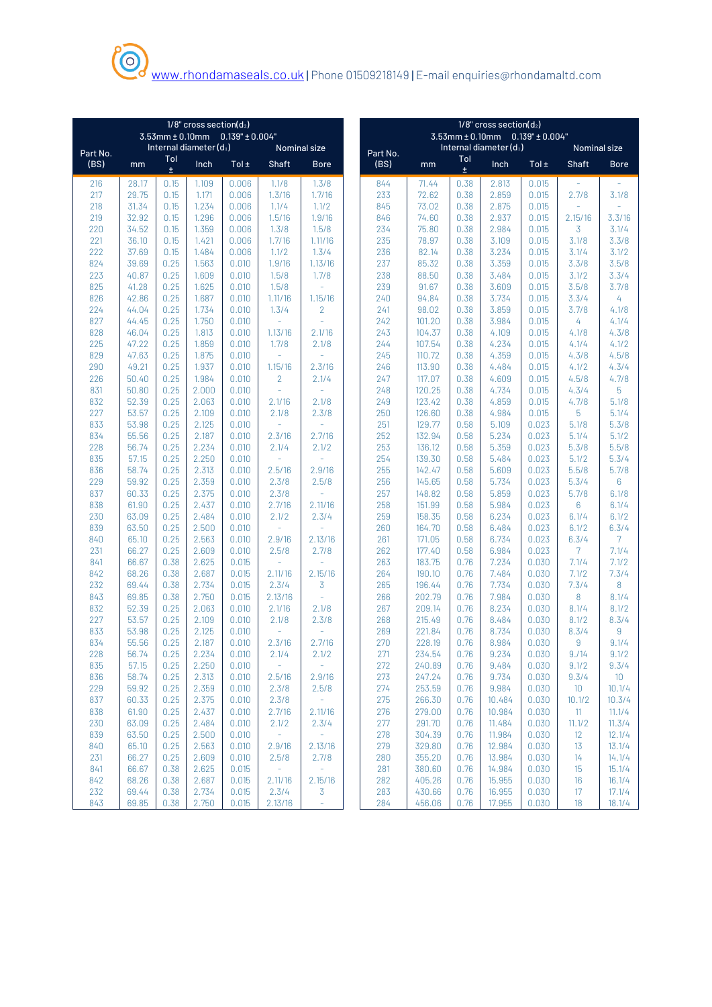|            | $1/8$ " cross section( $d_2$ )<br>$3.53$ mm $\pm$ 0.10mm 0.139" $\pm$ 0.004" |              |                           |                |                 |                     |  | $1/8$ " cross section( $d_2$ ) |                  |              |                                            |                |                     |                |
|------------|------------------------------------------------------------------------------|--------------|---------------------------|----------------|-----------------|---------------------|--|--------------------------------|------------------|--------------|--------------------------------------------|----------------|---------------------|----------------|
|            |                                                                              |              |                           |                |                 |                     |  |                                |                  |              | $3.53$ mm $\pm$ 0.10mm 0.139" $\pm$ 0.004" |                |                     |                |
| Part No.   |                                                                              | Tol          | Internal diameter $(d_1)$ |                |                 | <b>Nominal size</b> |  | Part No.                       |                  | Tol          | Internal diameter $(d_1)$                  |                | <b>Nominal size</b> |                |
| (BS)       | mm                                                                           | ±.           | Inch                      | Tol $\pm$      | Shaft           | <b>Bore</b>         |  | (BS)                           | mm               | ±.           | Inch                                       | Tol $\pm$      | <b>Shaft</b>        | <b>Bore</b>    |
| 216        | 28.17                                                                        | 0.15         | 1.109                     | 0.006          | 1.1/8           | 1.3/8               |  | 844                            | 71.44            | 0.38         | 2.813                                      | 0.015          |                     |                |
| 217        | 29.75                                                                        | 0.15         | 1.171                     | 0.006          | 1.3/16          | 1.7/16              |  | 233                            | 72.62            | 0.38         | 2.859                                      | 0.015          | 2.7/8               | 3.1/8          |
| 218        | 31.34                                                                        | 0.15         | 1.234                     | 0.006          | 1.1/4           | 1.1/2               |  | 845                            | 73.02            | 0.38         | 2.875                                      | 0.015          |                     |                |
| 219        | 32.92                                                                        | 0.15         | 1.296                     | 0.006          | 1.5/16          | 1.9/16              |  | 846                            | 74.60            | 0.38         | 2.937                                      | 0.015          | 2.15/16             | 3.3/16         |
| 220        | 34.52                                                                        | 0.15         | 1.359                     | 0.006          | 1.3/8           | 1.5/8               |  | 234                            | 75.80            | 0.38         | 2.984                                      | 0.015          | 3                   | 3.1/4          |
| 221        | 36.10                                                                        | 0.15         | 1.421                     | 0.006          | 1.7/16          | 1.11/16             |  | 235                            | 78.97            | 0.38         | 3.109                                      | 0.015          | 3.1/8               | 3.3/8          |
| 222<br>824 | 37.69                                                                        | 0.15         | 1.484                     | 0.006<br>0.010 | 1.1/2           | 1.3/4               |  | 236                            | 82.14            | 0.38         | 3.234                                      | 0.015          | 3.1/4               | 3.1/2          |
| 223        | 39.69<br>40.87                                                               | 0.25<br>0.25 | 1.563<br>1.609            | 0.010          | 1.9/16<br>1.5/8 | 1.13/16<br>1.7/8    |  | 237<br>238                     | 85.32<br>88.50   | 0.38<br>0.38 | 3.359<br>3.484                             | 0.015<br>0.015 | 3.3/8<br>3.1/2      | 3.5/8<br>3.3/4 |
| 825        | 41.28                                                                        | 0.25         | 1.625                     | 0.010          | 1.5/8           |                     |  | 239                            | 91.67            | 0.38         | 3.609                                      | 0.015          | 3.5/8               | 3.7/8          |
| 826        | 42.86                                                                        | 0.25         | 1.687                     | 0.010          | 1.11/16         | 1.15/16             |  | 240                            | 94.84            | 0.38         | 3.734                                      | 0.015          | 3.3/4               | 4              |
| 224        | 44.04                                                                        | 0.25         | 1.734                     | 0.010          | 1.3/4           | $\overline{2}$      |  | 241                            | 98.02            | 0.38         | 3.859                                      | 0.015          | 3.7/8               | 4.1/8          |
| 827        | 44.45                                                                        | 0.25         | 1.750                     | 0.010          | ÷,              | ä,                  |  | 242                            | 101.20           | 0.38         | 3.984                                      | 0.015          | 4                   | 4.1/4          |
| 828        | 46.04                                                                        | 0.25         | 1.813                     | 0.010          | 1.13/16         | 2.1/16              |  | 243                            | 104.37           | 0.38         | 4.109                                      | 0.015          | 4.1/8               | 4.3/8          |
| 225        | 47.22                                                                        | 0.25         | 1.859                     | 0.010          | 1.7/8           | 2.1/8               |  | 244                            | 107.54           | 0.38         | 4.234                                      | 0.015          | 4.1/4               | 4.1/2          |
| 829        | 47.63                                                                        | 0.25         | 1.875                     | 0.010          |                 |                     |  | 245                            | 110.72           | 0.38         | 4.359                                      | 0.015          | 4.3/8               | 4.5/8          |
| 290        | 49.21                                                                        | 0.25         | 1.937                     | 0.010          | 1.15/16         | 2.3/16              |  | 246                            | 113.90           | 0.38         | 4.484                                      | 0.015          | 4.1/2               | 4.3/4          |
| 226        | 50.40                                                                        | 0.25         | 1.984                     | 0.010          | $\overline{2}$  | 2.1/4               |  | 247                            | 117.07           | 0.38         | 4.609                                      | 0.015          | 4.5/8               | 4.7/8          |
| 831        | 50.80                                                                        | 0.25         | 2.000                     | 0.010          | ÷               |                     |  | 248                            | 120.25           | 0.38         | 4.734                                      | 0.015          | 4.3/4               | 5              |
| 832        | 52.39                                                                        | 0.25         | 2.063                     | 0.010          | 2.1/16          | 2.1/8               |  | 249                            | 123.42           | 0.38         | 4.859                                      | 0.015          | 4.7/8               | 5.1/8          |
| 227        | 53.57                                                                        | 0.25         | 2.109                     | 0.010          | 2.1/8           | 2.3/8               |  | 250                            | 126.60           | 0.38         | 4.984                                      | 0.015          | 5                   | 5.1/4          |
| 833        | 53.98                                                                        | 0.25         | 2.125                     | 0.010          | ۷               |                     |  | 251                            | 129.77           | 0.58         | 5.109                                      | 0.023          | 5.1/8               | 5.3/8          |
| 834        | 55.56                                                                        | 0.25         | 2.187                     | 0.010          | 2.3/16          | 2.7/16              |  | 252                            | 132.94           | 0.58         | 5.234                                      | 0.023          | 5.1/4               | 5.1/2          |
| 228        | 56.74                                                                        | 0.25         | 2.234                     | 0.010          | 2.1/4           | 2.1/2               |  | 253                            | 136.12           | 0.58         | 5.359                                      | 0.023          | 5.3/8               | 5.5/8          |
| 835        | 57.15                                                                        | 0.25         | 2.250                     | 0.010          | ÷               |                     |  | 254                            | 139.30           | 0.58         | 5.484                                      | 0.023          | 5.1/2               | 5.3/4<br>5.7/8 |
| 836<br>229 | 58.74<br>59.92                                                               | 0.25<br>0.25 | 2.313<br>2.359            | 0.010<br>0.010 | 2.5/16<br>2.3/8 | 2.9/16<br>2.5/8     |  | 255<br>256                     | 142.47<br>145.65 | 0.58<br>0.58 | 5.609<br>5.734                             | 0.023<br>0.023 | 5.5/8<br>5.3/4      | $6\phantom{1}$ |
| 837        | 60.33                                                                        | 0.25         | 2.375                     | 0.010          | 2.3/8           |                     |  | 257                            | 148.82           | 0.58         | 5.859                                      | 0.023          | 5.7/8               | 6.1/8          |
| 838        | 61.90                                                                        | 0.25         | 2.437                     | 0.010          | 2.7/16          | 2.11/16             |  | 258                            | 151.99           | 0.58         | 5.984                                      | 0.023          | 6                   | 6.1/4          |
| 230        | 63.09                                                                        | 0.25         | 2.484                     | 0.010          | 2.1/2           | 2.3/4               |  | 259                            | 158.35           | 0.58         | 6.234                                      | 0.023          | 6.1/4               | 6.1/2          |
| 839        | 63.50                                                                        | 0.25         | 2.500                     | 0.010          | ÷               |                     |  | 260                            | 164.70           | 0.58         | 6.484                                      | 0.023          | 6.1/2               | 6.3/4          |
| 840        | 65.10                                                                        | 0.25         | 2.563                     | 0.010          | 2.9/16          | 2.13/16             |  | 261                            | 171.05           | 0.58         | 6.734                                      | 0.023          | 6.3/4               | $\overline{7}$ |
| 231        | 66.27                                                                        | 0.25         | 2.609                     | 0.010          | 2.5/8           | 2.7/8               |  | 262                            | 177.40           | 0.58         | 6.984                                      | 0.023          | $\overline{7}$      | 7.1/4          |
| 841        | 66.67                                                                        | 0.38         | 2.625                     | 0.015          | ÷,              |                     |  | 263                            | 183.75           | 0.76         | 7.234                                      | 0.030          | 7.1/4               | 7.1/2          |
| 842        | 68.26                                                                        | 0.38         | 2.687                     | 0.015          | 2.11/16         | 2.15/16             |  | 264                            | 190.10           | 0.76         | 7.484                                      | 0.030          | 7.1/2               | 7.3/4          |
| 232        | 69.44                                                                        | 0.38         | 2.734                     | 0.015          | 2.3/4           | 3                   |  | 265                            | 196.44           | 0.76         | 7.734                                      | 0.030          | 7.3/4               | 8              |
| 843        | 69.85                                                                        | 0.38         | 2.750                     | 0.015          | 2.13/16         | ÷,                  |  | 266                            | 202.79           | 0.76         | 7.984                                      | 0.030          | 8                   | 8.1/4          |
| 832        | 52.39                                                                        | 0.25         | 2.063                     | 0.010          | 2.1/16          | 2.1/8               |  | 267                            | 209.14           | 0.76         | 8.234                                      | 0.030          | 8.1/4               | 8.1/2          |
| 227        | 53.57                                                                        | 0.25         | 2.109                     | 0.010          | 2.1/8           | 2.3/8               |  | 268                            | 215.49           | 0.76         | 8.484                                      | 0.030          | 8.1/2               | 8.3/4          |
| 833        | 53.98                                                                        | 0.25         | 2.125                     | 0.010          |                 |                     |  | 269                            | 221.84           | 0.76         | 8.734                                      | 0.030          | 8.3/4               | 9              |
| 834        | 55.56                                                                        | 0.25         | 2.187                     | 0.010          | 2.3/16          | 2.7/16              |  | 270                            | 228.19           | 0.76         | 8.984                                      | 0.030          | 9                   | 9.1/4          |
| 228        | 56.74                                                                        | 0.25         | 2.234                     | 0.010          | 2.1/4           | 2.1/2               |  | 271                            | 234.54           | 0.76         | 9.234                                      | 0.030          | 9.114               | 9.1/2          |
| 835<br>836 | 57.15<br>58.74                                                               | 0.25<br>0.25 | 2.250<br>2.313            | 0.010          |                 | 2.9/16              |  | 272<br>273                     | 240.89<br>247.24 | 0.76         | 9.484<br>9.734                             | 0.030<br>0.030 | 9.1/2<br>9.3/4      | 9.3/4          |
| 229        | 59.92                                                                        | 0.25         | 2.359                     | 0.010<br>0.010 | 2.5/16<br>2.3/8 | 2.5/8               |  | 274                            | 253.59           | 0.76<br>0.76 | 9.984                                      | 0.030          | 10                  | 10<br>10.1/4   |
| 837        | 60.33                                                                        | 0.25         | 2.375                     | 0.010          | 2.3/8           | $\equiv$            |  | 275                            | 266.30           | 0.76         | 10.484                                     | 0.030          | 10.1/2              | 10.3/4         |
| 838        | 61.90                                                                        | 0.25         | 2.437                     | 0.010          | 2.7/16          | 2.11/16             |  | 276                            | 279.00           | 0.76         | 10.984                                     | 0.030          | 11 <sup>11</sup>    | 11.1/4         |
| 230        | 63.09                                                                        | 0.25         | 2.484                     | 0.010          | 2.1/2           | 2.3/4               |  | 277                            | 291.70           | 0.76         | 11.484                                     | 0.030          | 11.1/2              | 11.3/4         |
| 839        | 63.50                                                                        | 0.25         | 2.500                     | 0.010          | $\equiv$        |                     |  | 278                            | 304.39           | 0.76         | 11.984                                     | 0.030          | 12                  | 12.1/4         |
| 840        | 65.10                                                                        | 0.25         | 2.563                     | 0.010          | 2.9/16          | 2.13/16             |  | 279                            | 329.80           | 0.76         | 12.984                                     | 0.030          | 13                  | 13.1/4         |
| 231        | 66.27                                                                        | 0.25         | 2.609                     | 0.010          | 2.5/8           | 2.7/8               |  | 280                            | 355.20           | 0.76         | 13.984                                     | 0.030          | 14                  | 14.1/4         |
| 841        | 66.67                                                                        | 0.38         | 2.625                     | 0.015          | $\frac{1}{2}$   | $\equiv$            |  | 281                            | 380.60           | 0.76         | 14.984                                     | 0.030          | 15                  | 15.1/4         |
| 842        | 68.26                                                                        | 0.38         | 2.687                     | 0.015          | 2.11/16         | 2.15/16             |  | 282                            | 405.26           | 0.76         | 15.955                                     | 0.030          | 16                  | 16.1/4         |
| 232        | 69.44                                                                        | 0.38         | 2.734                     | 0.015          | 2.3/4           | 3                   |  | 283                            | 430.66           | 0.76         | 16.955                                     | 0.030          | 17 <sup>2</sup>     | 17.1/4         |
| 843        | 69.85                                                                        | 0.38         | 2.750                     | 0.015          | 2.13/16         | $\equiv$            |  | 284                            | 456.06           | 0.76         | 17.955                                     | 0.030          | 18                  | 18.1/4         |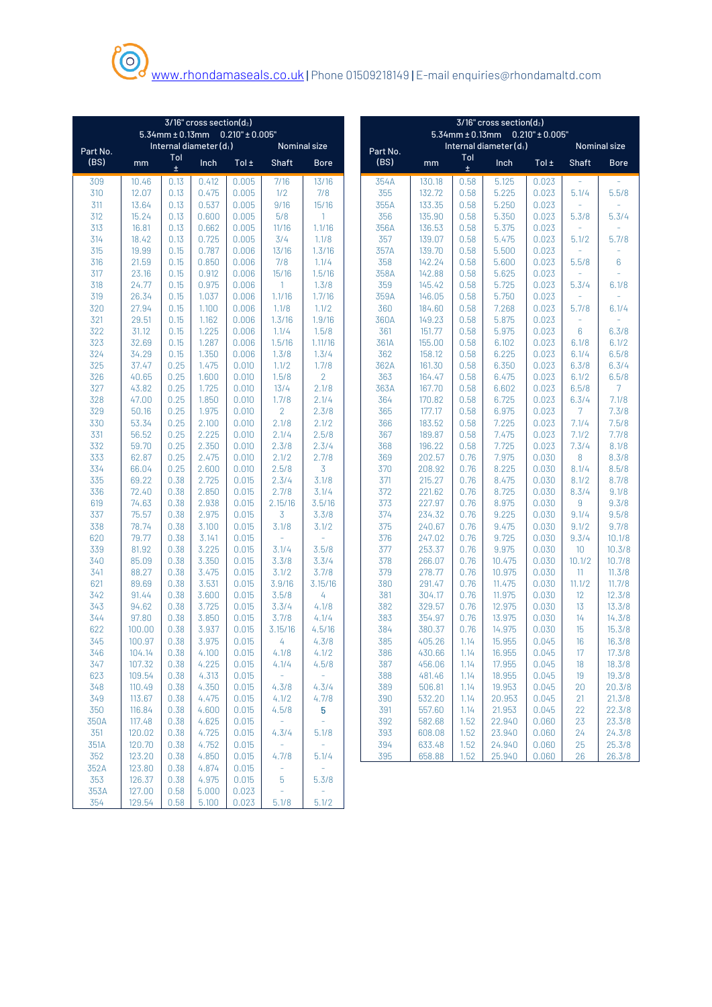|                                                                                                                                                                                                      | $3/16"$ cross section( $d_2$ ) |                    |                 |  |  |  |  |  |
|------------------------------------------------------------------------------------------------------------------------------------------------------------------------------------------------------|--------------------------------|--------------------|-----------------|--|--|--|--|--|
| $5.34$ mm $\pm$ 0.13mm 0.210" $\pm$ 0.005"<br>$5.34$ mm ± 0.13mm 0.210" ± 0.005"                                                                                                                     |                                |                    |                 |  |  |  |  |  |
| Internal diameter $(d_1)$<br>Nominal size<br>Internal diameter $(d_1)$<br>Part No.<br>Part No.                                                                                                       |                                |                    | Nominal size    |  |  |  |  |  |
| Tol<br>Tol<br>(BS)<br>(BS)<br>Inch<br>Tol $\pm$<br><b>Shaft</b><br>Inch<br><b>Bore</b><br>mm<br>mm<br>$\pm$<br>±.                                                                                    | Tol±                           | <b>Shaft</b>       | <b>Bore</b>     |  |  |  |  |  |
| 10.46<br>0.13<br>0.412<br>0.005<br>7/16<br>13/16<br>354A<br>130.18<br>0.58<br>5.125<br>309                                                                                                           | 0.023                          |                    |                 |  |  |  |  |  |
| 310<br>12.07<br>0.005<br>1/2<br>7/8<br>355<br>132.72<br>5.225<br>0.13<br>0.475<br>0.58                                                                                                               | 0.023                          | 5.1/4              | 5.5/8           |  |  |  |  |  |
| 311<br>13.64<br>0.13<br>0.537<br>0.005<br>9/16<br>15/16<br>355A<br>133.35<br>0.58<br>5.250                                                                                                           | 0.023                          | $\equiv$           |                 |  |  |  |  |  |
| 312<br>15.24<br>0.13<br>0.600<br>0.005<br>5/8<br>356<br>135.90<br>0.58<br>5.350<br>1                                                                                                                 | 0.023                          | 5.3/8              | 5.3/4           |  |  |  |  |  |
| 313<br>16.81<br>0.662<br>356A<br>5.375<br>0.13<br>0.005<br>11/16<br>1.1/16<br>136.53<br>0.58                                                                                                         | 0.023                          | ÷.                 |                 |  |  |  |  |  |
| 314<br>18.42<br>0.725<br>3/4<br>357<br>5.475<br>0.13<br>0.005<br>1.1/8<br>139.07<br>0.58                                                                                                             | 0.023                          | 5.1/2              | 5.7/8           |  |  |  |  |  |
| 315<br>19.99<br>0.15<br>0.787<br>0.006<br>13/16<br>1.3/16<br>357A<br>139.70<br>0.58<br>5.500                                                                                                         | 0.023                          | $\bar{a}$          |                 |  |  |  |  |  |
| 21.59<br>0.850<br>7/8<br>1.1/4<br>358<br>142.24<br>5.600<br>316<br>0.15<br>0.006<br>0.58                                                                                                             | 0.023                          | 5.5/8              | 6               |  |  |  |  |  |
| 317<br>23.16<br>0.912<br>15/16<br>1.5/16<br>358A<br>142.88<br>5.625<br>0.15<br>0.006<br>0.58                                                                                                         | 0.023                          | $\equiv$           | ٠               |  |  |  |  |  |
| 318<br>24.77<br>0.15<br>359<br>0.975<br>0.006<br>$\overline{1}$<br>1.3/8<br>145.42<br>0.58<br>5.725<br>319<br>26.34<br>359A<br>146.05<br>0.15<br>1.037<br>0.006<br>1.1/16<br>1.7/16<br>0.58<br>5.750 | 0.023<br>0.023                 | 5.3/4<br>$\bar{a}$ | 6.1/8           |  |  |  |  |  |
| 320<br>27.94<br>0.15<br>1.1/8<br>1.1/2<br>360<br>7.268<br>1.100<br>0.006<br>184.60<br>0.58                                                                                                           | 0.023                          | 5.7/8              | 6.1/4           |  |  |  |  |  |
| 321<br>29.51<br>0.15<br>1.162<br>1.3/16<br>1.9/16<br>360A<br>149.23<br>5.875<br>0.006<br>0.58                                                                                                        | 0.023                          |                    |                 |  |  |  |  |  |
| 322<br>31.12<br>1.225<br>1.1/4<br>1.5/8<br>361<br>151.77<br>5.975<br>0.15<br>0.006<br>0.58                                                                                                           | 0.023                          | 6                  | 6.3/8           |  |  |  |  |  |
| 323<br>1.287<br>1.5/16<br>361A<br>32.69<br>0.15<br>0.006<br>1.11/16<br>155.00<br>0.58<br>6.102                                                                                                       | 0.023                          | 6.1/8              | 6.1/2           |  |  |  |  |  |
| 324<br>34.29<br>1.350<br>362<br>6.225<br>0.15<br>0.006<br>1.3/8<br>1.3/4<br>158.12<br>0.58                                                                                                           | 0.023                          | 6.1/4              | 6.5/8           |  |  |  |  |  |
| 325<br>37.47<br>1.1/2<br>1.7/8<br>362A<br>6.350<br>0.25<br>1.475<br>0.010<br>161.30<br>0.58                                                                                                          | 0.023                          | 6.3/8              | 6.3/4           |  |  |  |  |  |
| $\overline{2}$<br>326<br>40.65<br>0.25<br>1.600<br>1.5/8<br>363<br>164.47<br>0.58<br>6.475<br>0.010                                                                                                  | 0.023                          | 6.1/2              | 6.5/8           |  |  |  |  |  |
| 327<br>43.82<br>0.25<br>1.725<br>0.010<br>13/4<br>2.1/8<br>363A<br>167.70<br>6.602<br>0.58                                                                                                           | 0.023                          | 6.5/8              | $\overline{7}$  |  |  |  |  |  |
| 328<br>47.00<br>1.850<br>1.7/8<br>2.1/4<br>364<br>0.25<br>0.010<br>170.82<br>0.58<br>6.725                                                                                                           | 0.023                          | 6.3/4              | 7.1/8           |  |  |  |  |  |
| 329<br>$\overline{2}$<br>2.3/8<br>365<br>6.975<br>50.16<br>0.25<br>1.975<br>0.010<br>177.17<br>0.58                                                                                                  | 0.023                          | $7^{\circ}$        | 7.3/8           |  |  |  |  |  |
| 330<br>53.34<br>0.25<br>2.100<br>2.1/8<br>2.1/2<br>366<br>183.52<br>7.225<br>0.010<br>0.58                                                                                                           | 0.023                          | 7.1/4              | 7.5/8           |  |  |  |  |  |
| 331<br>56.52<br>0.25<br>2.225<br>0.010<br>2.1/4<br>2.5/8<br>367<br>189.87<br>0.58<br>7.475                                                                                                           | 0.023                          | 7.1/2              | 7.7/8           |  |  |  |  |  |
| 332<br>59.70<br>0.25<br>2.350<br>2.3/8<br>2.3/4<br>368<br>196.22<br>0.58<br>7.725<br>0.010                                                                                                           | 0.023                          | 7.3/4              | 8.1/8           |  |  |  |  |  |
| 333<br>62.87<br>2.7/8<br>369<br>7.975<br>0.25<br>2.475<br>0.010<br>2.1/2<br>202.57<br>0.76                                                                                                           | 0.030                          | 8                  | 8.3/8           |  |  |  |  |  |
| 334<br>66.04<br>2.5/8<br>3<br>8.225<br>0.25<br>2.600<br>0.010<br>370<br>208.92<br>0.76                                                                                                               | 0.030                          | 8.1/4              | 8.5/8           |  |  |  |  |  |
| 335<br>69.22<br>2.725<br>0.015<br>2.3/4<br>3.1/8<br>371<br>215.27<br>0.76<br>8.475<br>0.38                                                                                                           | 0.030                          | 8.1/2              | 8.7/8           |  |  |  |  |  |
| 372<br>336<br>72.40<br>2.850<br>2.7/8<br>3.1/4<br>221.62<br>0.76<br>8.725<br>0.38<br>0.015                                                                                                           | 0.030                          | 8.3/4              | 9.1/8           |  |  |  |  |  |
| 619<br>74.63<br>2.938<br>2.15/16<br>3.5/16<br>373<br>227.97<br>8.975<br>0.38<br>0.015<br>0.76                                                                                                        | 0.030                          | 9                  | 9.3/8           |  |  |  |  |  |
| 337<br>75.57<br>2.975<br>3<br>374<br>234.32<br>9.225<br>0.38<br>0.015<br>3.3/8<br>0.76                                                                                                               | 0.030                          | 9.1/4              | 9.5/8           |  |  |  |  |  |
| 78.74<br>3.1/8<br>375<br>240.67<br>9.475<br>338<br>0.38<br>3.100<br>0.015<br>3.1/2<br>0.76<br>79.77<br>3.141<br>$\bar{a}$                                                                            | 0.030<br>0.030                 | 9.1/2              | 9.7/8<br>10.1/8 |  |  |  |  |  |
| 620<br>0.015<br>376<br>9.725<br>0.38<br>247.02<br>0.76<br>339<br>81.92<br>3.225<br>3.1/4<br>3.5/8<br>377<br>253.37<br>0.76<br>9.975<br>0.38<br>0.015                                                 | 0.030                          | 9.3/4<br>10        | 10.3/8          |  |  |  |  |  |
| 340<br>3.350<br>3.3/8<br>378<br>266.07<br>10.475<br>85.09<br>0.38<br>0.015<br>3.3/4<br>0.76                                                                                                          | 0.030                          | 10.1/2             | 10.7/8          |  |  |  |  |  |
| 341<br>88.27<br>379<br>0.38<br>3.475<br>0.015<br>3.1/2<br>3.7/8<br>278.77<br>0.76<br>10.975                                                                                                          | 0.030                          | 11                 | 11.3/8          |  |  |  |  |  |
| 621<br>89.69<br>3.9/16<br>380<br>11.475<br>0.38<br>3.531<br>0.015<br>3.15/16<br>291.47<br>0.76                                                                                                       | 0.030                          | 11.1/2             | 11.7/8          |  |  |  |  |  |
| 342<br>3.600<br>3.5/8<br>4<br>381<br>304.17<br>11.975<br>91.44<br>0.38<br>0.015<br>0.76                                                                                                              | 0.030                          | 12                 | 12.3/8          |  |  |  |  |  |
| 343<br>94.62<br>3.725<br>3.3/4<br>382<br>329.57<br>0.76<br>12.975<br>0.38<br>0.015<br>4.1/8                                                                                                          | 0.030                          | 13                 | 13.3/8          |  |  |  |  |  |
| 344<br>97.80<br>4.1/4<br>383<br>0.38<br>3.850<br>0.015<br>3.7/8<br>354.97<br>0.76<br>13.975                                                                                                          | 0.030                          | 14                 | 14.3/8          |  |  |  |  |  |
| 622<br>384<br>0.38<br>3.937<br>0.015<br>3.15/16<br>4.5/16<br>380.37<br>0.76<br>14.975<br>100.00                                                                                                      | 0.030                          | 15                 | 15.3/8          |  |  |  |  |  |
| 345<br>100.97<br>3.975<br>4.3/8<br>385<br>405.26<br>15.955<br>0.38<br>0.015<br>4<br>1.14                                                                                                             | 0.045                          | 16                 | 16.3/8          |  |  |  |  |  |
| 346<br>104.14<br>0.38<br>4.100<br>0.015<br>4.1/8<br>4.1/2<br>386<br>430.66<br>1.14<br>16.955                                                                                                         | 0.045                          | 17                 | 17.3/8          |  |  |  |  |  |
| 347<br>4.225<br>4.1/4<br>4.5/8<br>387<br>107.32<br>0.38<br>0.015<br>456.06<br>1.14<br>17.955                                                                                                         | 0.045                          | 18                 | 18.3/8          |  |  |  |  |  |
| 623<br>109.54<br>4.313<br>388<br>481.46<br>18.955<br>0.38<br>0.015<br>$\rightarrow$<br>÷,<br>1.14                                                                                                    | 0.045                          | 19                 | 19.3/8          |  |  |  |  |  |
| 348<br>389<br>110.49<br>0.38<br>4.350<br>0.015<br>4.3/4<br>506.81<br>1.14<br>19.953<br>4.3/8                                                                                                         | 0.045                          | 20                 | 20.3/8          |  |  |  |  |  |
| 349<br>113.67<br>4.475<br>4.1/2<br>4.7/8<br>390<br>532.20<br>20.953<br>0.38<br>0.015<br>1.14                                                                                                         | 0.045                          | 21                 | 21.3/8          |  |  |  |  |  |
| 350<br>4.600<br>5<br>391<br>557.60<br>21.953<br>116.84<br>0.38<br>0.015<br>4.5/8<br>1.14                                                                                                             | 0.045                          | 22                 | 22.3/8          |  |  |  |  |  |
| 350A<br>117.48<br>4.625<br>392<br>22.940<br>0.38<br>0.015<br>$\equiv$<br>582.68<br>1.52<br>$\sim$                                                                                                    | 0.060                          | 23                 | 23.3/8          |  |  |  |  |  |
| 351<br>120.02<br>4.725<br>0.015<br>393<br>608.08<br>23.940<br>0.38<br>4.3/4<br>5.1/8<br>1.52                                                                                                         | 0.060                          | 24                 | 24.3/8          |  |  |  |  |  |
| 394<br>351A<br>120.70<br>0.38<br>4.752<br>$\rightarrow$<br>633.48<br>1.52<br>24.940<br>0.015<br>$\sim$                                                                                               | 0.060                          | 25                 | 25.3/8          |  |  |  |  |  |
| 352<br>123.20<br>4.850<br>395<br>658.88<br>1.52<br>25.940<br>0.38<br>0.015<br>4.7/8<br>5.1/4                                                                                                         | 0.060                          | 26                 | 26.3/8          |  |  |  |  |  |
| 352A<br>123.80<br>4.874<br>0.015<br>$\omega$<br>0.38<br>$\equiv$                                                                                                                                     |                                |                    |                 |  |  |  |  |  |
| 353<br>126.37<br>4.975<br>0.015<br>0.38<br>5<br>5.3/8<br>353A<br>127.00<br>5.000<br>÷,<br>0.58<br>0.023                                                                                              |                                |                    |                 |  |  |  |  |  |

129.54 0.58 5.100 0.023 5.1/8 5.1/2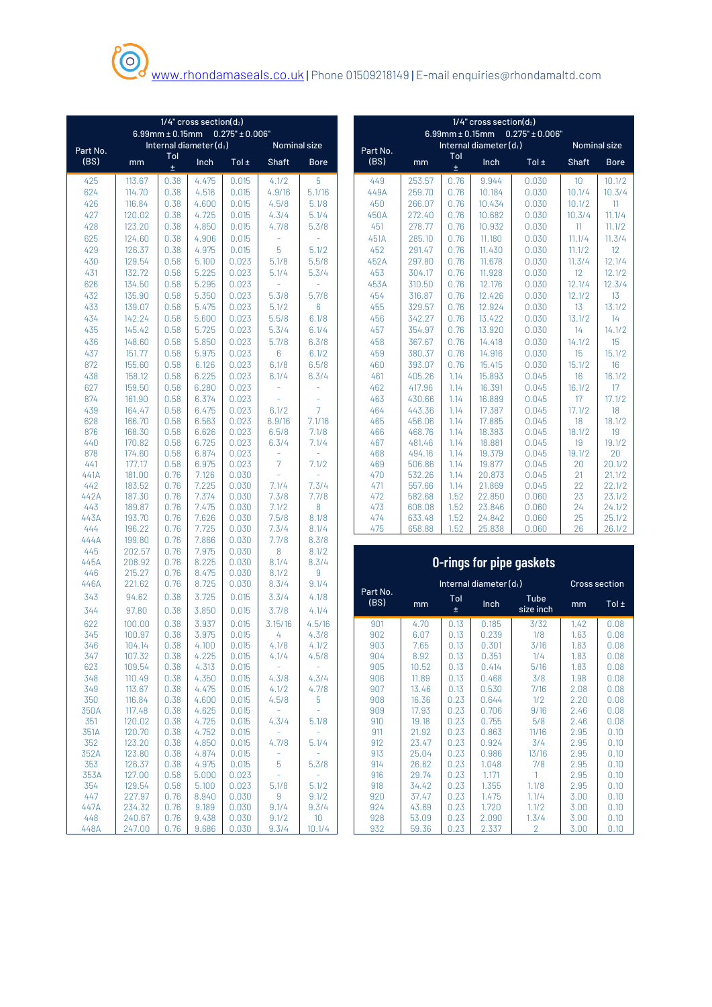|             | $1/4$ " cross section( $d_2$ )<br>$6.99$ mm $\pm$ 0.15mm 0.275" $\pm$ 0.006" |              |                           |                |                   |                   |  |             | $1/4$ " cross section( $d_2$ ) |              |                        |                                         |              |                      |  |
|-------------|------------------------------------------------------------------------------|--------------|---------------------------|----------------|-------------------|-------------------|--|-------------|--------------------------------|--------------|------------------------|-----------------------------------------|--------------|----------------------|--|
|             |                                                                              |              | Internal diameter $(d_1)$ |                |                   |                   |  |             |                                |              | Internal diameter (d1) | 6.99mm $\pm$ 0.15mm 0.275" $\pm$ 0.006" |              |                      |  |
| Part No.    |                                                                              | Tol          |                           |                |                   | Nominal size      |  | Part No.    |                                | Tol          |                        |                                         |              | Nominal size         |  |
| (BS)        | mm                                                                           | $\pm$        | Inch                      | Tol ±          | Shaft             | <b>Bore</b>       |  | (BS)        | mm                             | Ŧ.           | Inch                   | Tol $\pm$                               | <b>Shaft</b> | <b>Bore</b>          |  |
| 425         | 113.67                                                                       | 0.38         | 4.475                     | 0.015          | 4.1/2             | 5                 |  | 449         | 253.57                         | 0.76         | 9.944                  | 0.030                                   | 10           | 10.1/2               |  |
| 624         | 114.70                                                                       | 0.38         | 4.516                     | 0.015          | 4.9/16            | 5.1/16            |  | 449A        | 259.70                         | 0.76         | 10.184                 | 0.030                                   | 10.1/4       | 10.3/4               |  |
| 426         | 116.84                                                                       | 0.38         | 4.600                     | 0.015          | 4.5/8             | 5.1/8             |  | 450         | 266.07                         | 0.76         | 10.434                 | 0.030                                   | 10.1/2       | 11                   |  |
| 427         | 120.02                                                                       | 0.38         | 4.725                     | 0.015          | 4.3/4             | 5.1/4             |  | 450A        | 272.40                         | 0.76         | 10.682                 | 0.030                                   | 10.3/4       | 11.1/4               |  |
| 428<br>625  | 123.20<br>124.60                                                             | 0.38<br>0.38 | 4.850<br>4.906            | 0.015<br>0.015 | 4.7/8             | 5.3/8             |  | 451<br>451A | 278.77<br>285.10               | 0.76<br>0.76 | 10.932<br>11.180       | 0.030<br>0.030                          | 11<br>11.1/4 | 11.1/2<br>11.3/4     |  |
| 429         | 126.37                                                                       | 0.38         | 4.975                     | 0.015          | 5                 | 5.1/2             |  | 452         | 291.47                         | 0.76         | 11.430                 | 0.030                                   | 11.1/2       | $12 \overline{ }$    |  |
| 430         | 129.54                                                                       | 0.58         | 5.100                     | 0.023          | 5.1/8             | 5.5/8             |  | 452A        | 297.80                         | 0.76         | 11.678                 | 0.030                                   | 11.3/4       | 12.1/4               |  |
| 431         | 132.72                                                                       | 0.58         | 5.225                     | 0.023          | 5.1/4             | 5.3/4             |  | 453         | 304.17                         | 0.76         | 11.928                 | 0.030                                   | 12           | 12.1/2               |  |
| 626         | 134.50                                                                       | 0.58         | 5.295                     | 0.023          |                   |                   |  | 453A        | 310.50                         | 0.76         | 12.176                 | 0.030                                   | 12.1/4       | 12.3/4               |  |
| 432         | 135.90                                                                       | 0.58         | 5.350                     | 0.023          | 5.3/8             | 5.7/8             |  | 454         | 316.87                         | 0.76         | 12.426                 | 0.030                                   | 12.1/2       | 13                   |  |
| 433         | 139.07                                                                       | 0.58         | 5.475                     | 0.023          | 5.1/2             | $6\phantom{1}$    |  | 455         | 329.57                         | 0.76         | 12.924                 | 0.030                                   | 13           | 13.1/2               |  |
| 434         | 142.24                                                                       | 0.58         | 5.600                     | 0.023          | 5.5/8             | 6.1/8             |  | 456         | 342.27                         | 0.76         | 13.422                 | 0.030                                   | 13.1/2       | 14                   |  |
| 435<br>436  | 145.42<br>148.60                                                             | 0.58<br>0.58 | 5.725<br>5.850            | 0.023<br>0.023 | 5.3/4<br>5.7/8    | 6.1/4<br>6.3/8    |  | 457<br>458  | 354.97<br>367.67               | 0.76<br>0.76 | 13.920<br>14.418       | 0.030<br>0.030                          | 14<br>14.1/2 | 14.1/2<br>15         |  |
| 437         | 151.77                                                                       | 0.58         | 5.975                     | 0.023          | 6                 | 6.1/2             |  | 459         | 380.37                         | 0.76         | 14.916                 | 0.030                                   | 15           | 15.1/2               |  |
| 872         | 155.60                                                                       | 0.58         | 6.126                     | 0.023          | 6.1/8             | 6.5/8             |  | 460         | 393.07                         | 0.76         | 15.415                 | 0.030                                   | 15.1/2       | 16                   |  |
| 438         | 158.12                                                                       | 0.58         | 6.225                     | 0.023          | 6.1/4             | 6.3/4             |  | 461         | 405.26                         | 1.14         | 15.893                 | 0.045                                   | 16           | 16.1/2               |  |
| 627         | 159.50                                                                       | 0.58         | 6.280                     | 0.023          | i.                |                   |  | 462         | 417.96                         | 1.14         | 16.391                 | 0.045                                   | 16.1/2       | 17                   |  |
| 874         | 161.90                                                                       | 0.58         | 6.374                     | 0.023          | L.                |                   |  | 463         | 430.66                         | 1.14         | 16.889                 | 0.045                                   | 17           | 17.1/2               |  |
| 439         | 164.47                                                                       | 0.58         | 6.475                     | 0.023          | 6.1/2             | $\overline{7}$    |  | 464         | 443.36                         | 1.14         | 17.387                 | 0.045                                   | 17.1/2       | 18                   |  |
| 628         | 166.70                                                                       | 0.58         | 6.563                     | 0.023          | 6.9/16            | 7.1/16            |  | 465         | 456.06                         | 1.14         | 17.885                 | 0.045                                   | 18           | 18.1/2               |  |
| 876<br>440  | 168.30<br>170.82                                                             | 0.58<br>0.58 | 6.626<br>6.725            | 0.023<br>0.023 | 6.5/8<br>6.3/4    | 7.1/8<br>7.1/4    |  | 466<br>467  | 468.76<br>481.46               | 1.14<br>1.14 | 18.383<br>18.881       | 0.045<br>0.045                          | 18.1/2<br>19 | 19<br>19.1/2         |  |
| 878         | 174.60                                                                       | 0.58         | 6.874                     | 0.023          |                   |                   |  | 468         | 494.16                         | 1.14         | 19.379                 | 0.045                                   | 19.1/2       | 20                   |  |
| 441         | 177.17                                                                       | 0.58         | 6.975                     | 0.023          | $\overline{7}$    | 7.1/2             |  | 469         | 506.86                         | 1.14         | 19.877                 | 0.045                                   | 20           | 20.1/2               |  |
| 441A        | 181.00                                                                       | 0.76         | 7.126                     | 0.030          |                   |                   |  | 470         | 532.26                         | 1.14         | 20.873                 | 0.045                                   | 21           | 21.1/2               |  |
| 442         | 183.52                                                                       | 0.76         | 7.225                     | 0.030          | 7.1/4             | 7.3/4             |  | 471         | 557.66                         | 1.14         | 21.869                 | 0.045                                   | 22           | 22.1/2               |  |
| 442A        | 187.30                                                                       | 0.76         | 7.374                     | 0.030          | 7.3/8             | 7.7/8             |  | 472         | 582.68                         | 1.52         | 22.850                 | 0.060                                   | 23           | 23.1/2               |  |
| 443<br>443A | 189.87<br>193.70                                                             | 0.76<br>0.76 | 7.475<br>7.626            | 0.030<br>0.030 | 7.1/2<br>7.5/8    | 8<br>8.1/8        |  | 473<br>474  | 608.08<br>633.48               | 1.52<br>1.52 | 23.846<br>24.842       | 0.060<br>0.060                          | 24<br>25     | 24.1/2<br>25.1/2     |  |
| 444         | 196.22                                                                       | 0.76         | 7.725                     | 0.030          | 7.3/4             | 8.1/4             |  | 475         | 658.88                         | 1.52         | 25.838                 | 0.060                                   | 26           | 26.1/2               |  |
| 444A        | 199.80                                                                       | 0.76         | 7.866                     | 0.030          | 7.7/8             | 8.3/8             |  |             |                                |              |                        |                                         |              |                      |  |
| 445         | 202.57                                                                       | 0.76         | 7.975                     | 0.030          | 8                 | 8.1/2             |  |             |                                |              |                        |                                         |              |                      |  |
| 445A        | 208.92                                                                       | 0.76         | 8.225                     | 0.030          | 8.1/4             | 8.3/4             |  |             |                                |              |                        | <b>O-rings for pipe gaskets</b>         |              |                      |  |
| 446         | 215.27<br>221.62                                                             | 0.76         | 8.475                     | 0.030          | 8.1/2             | 9<br>9.1/4        |  |             |                                |              | Internal diameter (d1) |                                         |              | <b>Cross section</b> |  |
| 446A        |                                                                              | 0.76         | 8.725                     | 0.030          | 8.3/4             |                   |  | Part No.    |                                |              |                        |                                         |              |                      |  |
| 343         | 94.62                                                                        | 0.38         | 3.725                     | 0.015          | 3.3/4             | 4.1/8             |  | (BS)        | mm                             | Tol<br>±.    | Inch                   | Tube<br>size inch                       | mm           | Tol $\pm$            |  |
| 344         | 97.80                                                                        | 0.38         | 3.850                     | 0.015          | 3.7/8             | 4.1/4             |  |             |                                |              |                        |                                         |              |                      |  |
| 622<br>345  | 100.00<br>100.97                                                             | 0.38<br>0.38 | 3.937<br>3.975            | 0.015<br>0.015 | 3.15/16<br>4      | 4.5/16<br>4.3/8   |  | 901<br>902  | 4.70<br>6.07                   | 0.13<br>0.13 | 0.185<br>0.239         | 3/32<br>1/8                             | 1.42<br>1.63 | 0.08<br>0.08         |  |
| 346         | 104.14                                                                       | 0.38         | 4.100                     | 0.015          | 4.1/8             | 4.1/2             |  | 903         | 7.65                           | 0.13         | 0.301                  | 3/16                                    | 1.63         | 0.08                 |  |
| 347         | 107.32                                                                       | 0.38         | 4.225                     | 0.015          | 4.1/4             | 4.5/8             |  | 904         | 8.92                           | 0.13         | 0.351                  | 1/4                                     | 1.83         | 0.08                 |  |
| 623         | 109.54                                                                       | 0.38         | 4.313                     | 0.015          | $\equiv$          | $\equiv$          |  | 905         | 10.52                          | 0.13         | 0.414                  | 5/16                                    | 1.83         | 0.08                 |  |
| 348         | 110.49                                                                       | 0.38         | 4.350                     | 0.015          | 4.3/8             | 4.3/4             |  | 906         | 11.89                          | 0.13         | 0.468                  | 3/8                                     | 1.98         | 0.08                 |  |
| 349         | 113.67                                                                       | 0.38         | 4.475                     | 0.015          | 4.1/2             | 4.7/8             |  | 907         | 13.46                          | 0.13         | 0.530                  | 7/16                                    | 2.08         | 0.08                 |  |
| 350<br>350A | 116.84<br>117.48                                                             | 0.38<br>0.38 | 4.600<br>4.625            | 0.015<br>0.015 | 4.5/8<br>$\equiv$ | 5<br>$\equiv$     |  | 908<br>909  | 16.36<br>17.93                 | 0.23<br>0.23 | 0.644<br>0.706         | 1/2<br>9/16                             | 2.20<br>2.46 | 0.08<br>0.08         |  |
| 351         | 120.02                                                                       | 0.38         | 4.725                     | 0.015          | 4.3/4             | 5.1/8             |  | 910         | 19.18                          | 0.23         | 0.755                  | 5/8                                     | 2.46         | 0.08                 |  |
| 351A        | 120.70                                                                       | 0.38         | 4.752                     | 0.015          | $\equiv$          | $\equiv$          |  | 911         | 21.92                          | 0.23         | 0.863                  | 11/16                                   | 2.95         | 0.10                 |  |
| 352         | 123.20                                                                       | 0.38         | 4.850                     | 0.015          | 4.7/8             | 5.1/4             |  | 912         | 23.47                          | 0.23         | 0.924                  | 3/4                                     | 2.95         | 0.10                 |  |
| 352A        | 123.80                                                                       | 0.38         | 4.874                     | 0.015          | $\equiv$          | ÷                 |  | 913         | 25.04                          | 0.23         | 0.986                  | 13/16                                   | 2.95         | 0.10                 |  |
| 353<br>353A | 126.37<br>127.00                                                             | 0.38<br>0.58 | 4.975<br>5.000            | 0.015<br>0.023 | 5<br>÷,           | 5.3/8<br>$\equiv$ |  | 914<br>916  | 26.62<br>29.74                 | 0.23<br>0.23 | 1.048<br>1.171         | 7/8<br>$\mathbf{1}$                     | 2.95<br>2.95 | 0.10<br>0.10         |  |
| 354         | 129.54                                                                       | 0.58         | 5.100                     | 0.023          | 5.1/8             | 5.1/2             |  | 918         | 34.42                          | 0.23         | 1.355                  | 1.1/8                                   | 2.95         | 0.10                 |  |
| 447         | 227.97                                                                       | 0.76         | 8.940                     | 0.030          | $\overline{9}$    | 9.1/2             |  | 920         | 37.47                          | 0.23         | 1.475                  | 1.1/4                                   | 3.00         | 0.10                 |  |
| 447A        | 234.32                                                                       | 0.76         | 9.189                     | 0.030          | 9.1/4             | 9.3/4             |  | 924         | 43.69                          | 0.23         | 1.720                  | 1.1/2                                   | 3.00         | 0.10                 |  |
| 448         | 240.67                                                                       | 0.76         | 9.438                     | 0.030          | 9.1/2             | 10 <sup>°</sup>   |  | 928         | 53.09                          | 0.23         | 2.090                  | 1.3/4                                   | 3.00         | 0.10                 |  |
| 448A        | 247.00                                                                       | 0.76         | 9.686                     | 0.030          | 9.3/4             | 10.1/4            |  | 932         | 59.36                          | 0.23         | 2.337                  | $2^{\circ}$                             | 3.00         | 0.10                 |  |

| $1/4$ " cross section( $d_2$ ) |        |                         |                        |                     |                     |             |  |  |  |  |  |
|--------------------------------|--------|-------------------------|------------------------|---------------------|---------------------|-------------|--|--|--|--|--|
|                                |        | $6.99$ mm $\pm 0.15$ mm |                        | $0.275" \pm 0.006"$ |                     |             |  |  |  |  |  |
| Part No.                       |        |                         | Internal diameter (d1) |                     | <b>Nominal size</b> |             |  |  |  |  |  |
| (BS)                           | mm     | Tol<br>Ŧ                | Inch                   | Tol $\pm$           | <b>Shaft</b>        | <b>Bore</b> |  |  |  |  |  |
| 449                            | 253.57 | 0.76                    | 9.944                  | 0.030               | 10 <sup>1</sup>     | 10.1/2      |  |  |  |  |  |
| 449A                           | 259.70 | 0.76                    | 10.184                 | 0.030               | 10.1/4              | 10.3/4      |  |  |  |  |  |
| 450                            | 266.07 | 0.76                    | 10.434                 | 0.030               | 10.1/2              | 11          |  |  |  |  |  |
| 450A                           | 272.40 | 0.76                    | 10.682                 | 0.030               | 10.3/4              | 11.1/4      |  |  |  |  |  |
| 451                            | 278.77 | 0.76                    | 10.932                 | 0.030               | 11                  | 11.1/2      |  |  |  |  |  |
| 451A                           | 285.10 | 0.76                    | 11.180                 | 0.030               | 11.1/4              | 11.3/4      |  |  |  |  |  |
| 452                            | 291.47 | 0.76                    | 11.430                 | 0.030               | 11.1/2              | 12          |  |  |  |  |  |
| 452A                           | 297.80 | 0.76                    | 11.678                 | 0.030               | 11.3/4              | 12.1/4      |  |  |  |  |  |
| 453                            | 304.17 | 0.76                    | 11.928                 | 0.030               | 12 <sup>°</sup>     | 12.1/2      |  |  |  |  |  |
| 453A                           | 310.50 | 0.76                    | 12.176                 | 0.030               | 12.1/4              | 12.3/4      |  |  |  |  |  |
| 454                            | 316.87 | 0.76                    | 12.426                 | 0.030               | 12.1/2              | 13          |  |  |  |  |  |
| 455                            | 329.57 | 0.76                    | 12.924                 | 0.030               | 13                  | 13.1/2      |  |  |  |  |  |
| 456                            | 342.27 | 0.76                    | 13.422                 | 0.030               | 13.1/2              | 14          |  |  |  |  |  |
| 457                            | 354.97 | 0.76                    | 13.920                 | 0.030               | 14                  | 14.1/2      |  |  |  |  |  |
| 458                            | 367.67 | 0.76                    | 14.418                 | 0.030               | 14.1/2              | 15          |  |  |  |  |  |
| 459                            | 380.37 | 0.76                    | 14.916                 | 0.030               | 15                  | 15.1/2      |  |  |  |  |  |
| 460                            | 393.07 | 0.76                    | 15.415                 | 0.030               | 15.1/2              | 16          |  |  |  |  |  |
| 461                            | 405.26 | 1.14                    | 15.893                 | 0.045               | 16                  | 16.1/2      |  |  |  |  |  |
| 462                            | 417.96 | 1.14                    | 16.391                 | 0.045               | 16.1/2              | 17          |  |  |  |  |  |
| 463                            | 430.66 | 1.14                    | 16.889                 | 0.045               | 17                  | 17.1/2      |  |  |  |  |  |
| 464                            | 443.36 | 1.14                    | 17.387                 | 0.045               | 17.1/2              | 18          |  |  |  |  |  |
| 465                            | 456.06 | 1.14                    | 17.885                 | 0.045               | 18                  | 18.1/2      |  |  |  |  |  |
| 466                            | 468.76 | 1.14                    | 18.383                 | 0.045               | 18.1/2              | 19          |  |  |  |  |  |
| 467                            | 481.46 | 1.14                    | 18.881                 | 0.045               | 19                  | 19.1/2      |  |  |  |  |  |
| 468                            | 494.16 | 1.14                    | 19.379                 | 0.045               | 19.1/2              | 20          |  |  |  |  |  |
| 469                            | 506.86 | 1.14                    | 19.877                 | 0.045               | 20                  | 20.1/2      |  |  |  |  |  |
| 470                            | 532.26 | 1.14                    | 20.873                 | 0.045               | 21                  | 21.1/2      |  |  |  |  |  |
| 471                            | 557.66 | 1.14                    | 21.869                 | 0.045               | 22                  | 22.1/2      |  |  |  |  |  |
| 472                            | 582.68 | 1.52                    | 22.850                 | 0.060               | 23                  | 23.1/2      |  |  |  |  |  |
| 473                            | 608.08 | 1.52                    | 23.846                 | 0.060               | 24                  | 24.1/2      |  |  |  |  |  |
| 474                            | 633.48 | 1.52                    | 24.842                 | 0.060               | 25                  | 25.1/2      |  |  |  |  |  |
| 475                            | 658.88 | 1.52                    | 25.838                 | 0.060               | 26                  | 26.1/2      |  |  |  |  |  |

|      | 0-rings for pipe gaskets                                      |          |       |                   |      |           |  |  |  |  |  |  |  |
|------|---------------------------------------------------------------|----------|-------|-------------------|------|-----------|--|--|--|--|--|--|--|
|      | Internal diameter $(d_1)$<br><b>Cross section</b><br>Part No. |          |       |                   |      |           |  |  |  |  |  |  |  |
| (BS) | mm                                                            | Tol<br>+ | Inch  | Tube<br>size inch | mm   | Tol $\pm$ |  |  |  |  |  |  |  |
| 901  | 4.70                                                          | 0.13     | 0.185 | 3/32              | 1.42 | 0.08      |  |  |  |  |  |  |  |
| 902  | 6.07                                                          | 0.13     | 0.239 | 1/8               | 1.63 | 0.08      |  |  |  |  |  |  |  |
| 903  | 7.65                                                          | 0.13     | 0.301 | 3/16              | 1.63 | 0.08      |  |  |  |  |  |  |  |
| 904  | 8.92                                                          | 0.13     | 0.351 | 1/4               | 1.83 | 0.08      |  |  |  |  |  |  |  |
| 905  | 10.52                                                         | 0.13     | 0.414 | 5/16              | 1.83 | 0.08      |  |  |  |  |  |  |  |
| 906  | 11.89                                                         | 0.13     | 0.468 | 3/8               | 1.98 | 0.08      |  |  |  |  |  |  |  |
| 907  | 13.46                                                         | 0.13     | 0.530 | 7/16              | 2.08 | 0.08      |  |  |  |  |  |  |  |
| 908  | 16.36                                                         | 0.23     | 0.644 | 1/2               | 2.20 | 0.08      |  |  |  |  |  |  |  |
| 909  | 17.93                                                         | 0.23     | 0.706 | 9/16              | 2.46 | 0.08      |  |  |  |  |  |  |  |
| 910  | 19.18                                                         | 0.23     | 0.755 | 5/8               | 2.46 | 0.08      |  |  |  |  |  |  |  |
| 911  | 21.92                                                         | 0.23     | 0.863 | 11/16             | 2.95 | 0.10      |  |  |  |  |  |  |  |
| 912  | 23.47                                                         | 0.23     | 0.924 | 3/4               | 2.95 | 0.10      |  |  |  |  |  |  |  |
| 913  | 25.04                                                         | 0.23     | 0.986 | 13/16             | 2.95 | 0.10      |  |  |  |  |  |  |  |
| 914  | 26.62                                                         | 0.23     | 1.048 | 7/8               | 2.95 | 0.10      |  |  |  |  |  |  |  |
| 916  | 29.74                                                         | 0.23     | 1.171 |                   | 2.95 | 0.10      |  |  |  |  |  |  |  |
| 918  | 34.42                                                         | 0.23     | 1.355 | 1.1/8             | 2.95 | 0.10      |  |  |  |  |  |  |  |
| 920  | 37.47                                                         | 0.23     | 1.475 | 1.1/4             | 3.00 | 0.10      |  |  |  |  |  |  |  |
| 924  | 43.69                                                         | 0.23     | 1.720 | 1.1/2             | 3.00 | 0.10      |  |  |  |  |  |  |  |
| 928  | 53.09                                                         | 0.23     | 2.090 | 1.3/4             | 3.00 | 0.10      |  |  |  |  |  |  |  |
| 932  | 59.36                                                         | 0.23     | 2.337 | 2                 | 3.00 | 0.10      |  |  |  |  |  |  |  |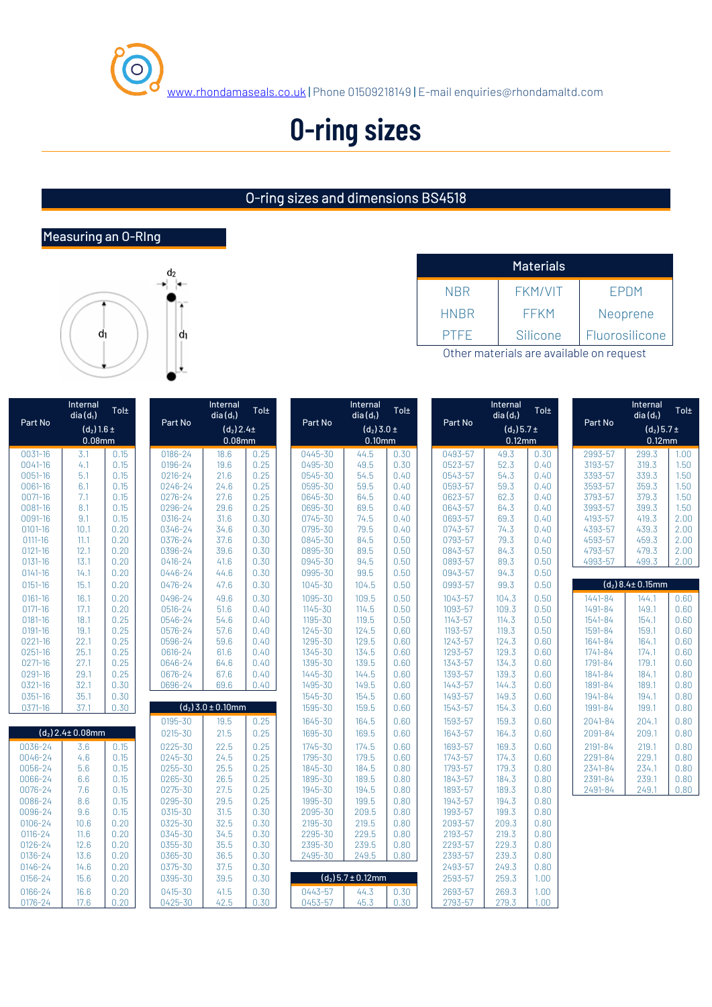

## **O-ring sizes**

#### O-ring sizes and dimensions BS4518

#### Measuring an O-RIng



|             | <b>Materials</b> |                |
|-------------|------------------|----------------|
| <b>NBR</b>  | <b>FKM/VIT</b>   | <b>FPDM</b>    |
| <b>HNBR</b> | <b>FFKM</b>      | Neoprene       |
| <b>PTFF</b> | Silicone         | Fluorosilicone |

Other materials are available on request

|             | Internal<br>$dia(d_1)$ | Tol± |         | Internal<br>$dia(d_1)$ | Tol± |         | Internal<br>$dia(d_1)$ | Tol± |         | Internal<br>$dia(d_1)$ | Tol± |             | Internal<br>$dia(d_1)$   | Tol± |
|-------------|------------------------|------|---------|------------------------|------|---------|------------------------|------|---------|------------------------|------|-------------|--------------------------|------|
| Part No     | $(d_2)$ 1.6 ±          |      | Part No | $(d_2) 2.4 \pm$        |      | Part No | $(d_2)$ 3.0 ±          |      | Part No | $(d_2)$ 5.7 ±          |      | Part No     | $(d_2)$ 5.7 ±            |      |
|             | $0.08$ mm              |      |         | 0.08mm                 |      |         | $0.10$ mm              |      |         | $0.12$ mm              |      |             | $0.12$ mm                |      |
| 0031-16     | 3.1                    | 0.15 | 0186-24 | 18.6                   | 0.25 | 0445-30 | 44.5                   | 0.30 | 0493-57 | 49.3                   | 0.30 | 2993-57     | 299.3                    | 1.00 |
| $0041 - 16$ | 4.1                    | 0.15 | 0196-24 | 19.6                   | 0.25 | 0495-30 | 49.5                   | 0.30 | 0523-57 | 52.3                   | 0.40 | 3193-57     | 319.3                    | 1.50 |
| 0051-16     | 5.1                    | 0.15 | 0216-24 | 21.6                   | 0.25 | 0545-30 | 54.5                   | 0.40 | 0543-57 | 54.3                   | 0.40 | 3393-57     | 339.3                    | 1.50 |
| 0061-16     | 6.1                    | 0.15 | 0246-24 | 24.6                   | 0.25 | 0595-30 | 59.5                   | 0.40 | 0593-57 | 59.3                   | 0.40 | 3593-57     | 359.3                    | 1.50 |
| 0071-16     | 7.1                    | 0.15 | 0276-24 | 27.6                   | 0.25 | 0645-30 | 64.5                   | 0.40 | 0623-57 | 62.3                   | 0.40 | 3793-57     | 379.3                    | 1.50 |
| 0081-16     | 8.1                    | 0.15 | 0296-24 | 29.6                   | 0.25 | 0695-30 | 69.5                   | 0.40 | 0643-57 | 64.3                   | 0.40 | 3993-57     | 399.3                    | 1.50 |
| 0091-16     | 9.1                    | 0.15 | 0316-24 | 31.6                   | 0.30 | 0745-30 | 74.5                   | 0.40 | 0693-57 | 69.3                   | 0.40 | 4193-57     | 419.3                    | 2.00 |
| $0101 - 16$ | 10.1                   | 0.20 | 0346-24 | 34.6                   | 0.30 | 0795-30 | 79.5                   | 0.40 | 0743-57 | 74.3                   | 0.40 | 4393-57     | 439.3                    | 2.00 |
| $0111 - 16$ | 11.1                   | 0.20 | 0376-24 | 37.6                   | 0.30 | 0845-30 | 84.5                   | 0.50 | 0793-57 | 79.3                   | 0.40 | 4593-57     | 459.3                    | 2.00 |
| $0121 - 16$ | 12.1                   | 0.20 | 0396-24 | 39.6                   | 0.30 | 0895-30 | 89.5                   | 0.50 | 0843-57 | 84.3                   | 0.50 | 4793-57     | 479.3                    | 2.00 |
| $0131 - 16$ | 13.1                   | 0.20 | 0416-24 | 41.6                   | 0.30 | 0945-30 | 94.5                   | 0.50 | 0893-57 | 89.3                   | 0.50 | 4993-57     | 499.3                    | 2.00 |
| $0141 - 16$ | 14.1                   | 0.20 | 0446-24 | 44.6                   | 0.30 | 0995-30 | 99.5                   | 0.50 | 0943-57 | 94.3                   | 0.50 |             |                          |      |
| 0151-16     | 15.1                   | 0.20 | 0476-24 | 47.6                   | 0.30 | 1045-30 | 104.5                  | 0.50 | 0993-57 | 99.3                   | 0.50 |             | $(d_2)$ 8.4 $\pm$ 0.15mm |      |
| $0161 - 16$ | 16.1                   | 0.20 | 0496-24 | 49.6                   | 0.30 | 1095-30 | 109.5                  | 0.50 | 1043-57 | 104.3                  | 0.50 | 1441-84     | 144.1                    | 0.60 |
| $0171 - 16$ | 17.1                   | 0.20 | 0516-24 | 51.6                   | 0.40 | 1145-30 | 114.5                  | 0.50 | 1093-57 | 109.3                  | 0.50 | 1491-84     | 149.1                    | 0.60 |
| $0181 - 16$ | 18.1                   | 0.25 | 0546-24 | 54.6                   | 0.40 | 1195-30 | 119.5                  | 0.50 | 1143-57 | 114.3                  | 0.50 | 1541-84     | 154.1                    | 0.60 |
| 0191-16     | 19.1                   | 0.25 | 0576-24 | 57.6                   | 0.40 | 1245-30 | 124.5                  | 0.60 | 1193-57 | 119.3                  | 0.50 | 1591-84     | 159.1                    | 0.60 |
| 0221-16     | 22.1                   | 0.25 | 0596-24 | 59.6                   | 0.40 | 1295-30 | 129.5                  | 0.60 | 1243-57 | 124.3                  | 0.60 | 1641-84     | 164.1                    | 0.60 |
| 0251-16     | 25.1                   | 0.25 | 0616-24 | 61.6                   | 0.40 | 1345-30 | 134.5                  | 0.60 | 1293-57 | 129.3                  | 0.60 | $1741 - 84$ | 174.1                    | 0.60 |
| 0271-16     | 27.1                   | 0.25 | 0646-24 | 64.6                   | 0.40 | 1395-30 | 139.5                  | 0.60 | 1343-57 | 134.3                  | 0.60 | 1791-84     | 179.1                    | 0.60 |
| 0291-16     | 29.1                   | 0.25 | 0676-24 | 67.6                   | 0.40 | 1445-30 | 144.5                  | 0.60 | 1393-57 | 139.3                  | 0.60 | 1841-84     | 184.1                    | 0.80 |
| 0321-16     | 32.1                   | 0.30 | 0696-24 | 69.6                   | 0.40 | 1495-30 | 149.5                  | 0.60 | 1443-57 | 144.3                  | 0.60 | 1891-84     | 189.1                    | 0.80 |
| 0351-16     | 35.1                   | 0.30 |         |                        |      | 1545-30 | 154.5                  | 0.60 | 1493-57 | 149.3                  | 0.60 | 1941-84     | 194.1                    | 0.80 |
| 0371-16     | 37.1                   | 0.30 |         | $(d_2)$ 3.0 ± 0.10mm   |      | 1595-30 | 159.5                  | 0.60 | 1543-57 | 154.3                  | 0.60 | 1991-84     | 199.1                    | 0.80 |
|             |                        |      | 0195-30 | 19.5                   | 0.25 | 1645-30 | 164.5                  | 0.60 | 1593-57 | 159.3                  | 0.60 | 2041-84     | 204.1                    | 0.80 |
|             | $(d_2)$ 2.4± 0.08mm    |      | 0215-30 | 21.5                   | 0.25 | 1695-30 | 169.5                  | 0.60 | 1643-57 | 164.3                  | 0.60 | 2091-84     | 209.1                    | 0.80 |
| 0036-24     | 3.6                    | 0.15 | 0225-30 | 22.5                   | 0.25 | 1745-30 | 174.5                  | 0.60 | 1693-57 | 169.3                  | 0.60 | 2191-84     | 219.1                    | 0.80 |
| 0046-24     | 4.6                    | 0.15 | 0245-30 | 24.5                   | 0.25 | 1795-30 | 179.5                  | 0.60 | 1743-57 | 174.3                  | 0.60 | 2291-84     | 229.1                    | 0.80 |
| 0056-24     | 5.6                    | 0.15 | 0255-30 | 25.5                   | 0.25 | 1845-30 | 184.5                  | 0.80 | 1793-57 | 179.3                  | 0.80 | 2341-84     | 234.1                    | 0.80 |
| 0066-24     | 6.6                    | 0.15 | 0265-30 | 26.5                   | 0.25 | 1895-30 | 189.5                  | 0.80 | 1843-57 | 184.3                  | 0.80 | 2391-84     | 239.1                    | 0.80 |
| 0076-24     | 7.6                    | 0.15 | 0275-30 | 27.5                   | 0.25 | 1945-30 | 194.5                  | 0.80 | 1893-57 | 189.3                  | 0.80 | 2491-84     | 249.1                    | 0.80 |
| 0086-24     | 8.6                    | 0.15 | 0295-30 | 29.5                   | 0.25 | 1995-30 | 199.5                  | 0.80 | 1943-57 | 194.3                  | 0.80 |             |                          |      |
| 0096-24     | 9.6                    | 0.15 | 0315-30 | 31.5                   | 0.30 | 2095-30 | 209.5                  | 0.80 | 1993-57 | 199.3                  | 0.80 |             |                          |      |
| 0106-24     | 10.6                   | 0.20 | 0325-30 | 32.5                   | 0.30 | 2195-30 | 219.5                  | 0.80 | 2093-57 | 209.3                  | 0.80 |             |                          |      |
| $0116 - 24$ | 11.6                   | 0.20 | 0345-30 | 34.5                   | 0.30 | 2295-30 | 229.5                  | 0.80 | 2193-57 | 219.3                  | 0.80 |             |                          |      |
| $0126 - 24$ | 12.6                   | 0.20 | 0355-30 | 35.5                   | 0.30 | 2395-30 | 239.5                  | 0.80 | 2293-57 | 229.3                  | 0.80 |             |                          |      |
| 0136-24     | 13.6                   | 0.20 | 0365-30 | 36.5                   | 0.30 | 2495-30 | 249.5                  | 0.80 | 2393-57 | 239.3                  | 0.80 |             |                          |      |
| 0146-24     | 14.6                   | 0.20 | 0375-30 | 37.5                   | 0.30 |         |                        |      | 2493-57 | 249.3                  | 0.80 |             |                          |      |
| 0156-24     | 15.6                   | 0.20 | 0395-30 | 39.5                   | 0.30 |         | $(d_2)$ 5.7 ± 0.12mm   |      | 2593-57 | 259.3                  | 1.00 |             |                          |      |
| 0166-24     | 16.6                   | 0.20 | 0415-30 | 41.5                   | 0.30 | 0443-57 | 44.3                   | 0.30 | 2693-57 | 269.3                  | 1.00 |             |                          |      |
| 0176-24     | 17.6                   | 0.20 | 0425-30 | 42.5                   | 0.30 | 0453-57 | 45.3                   | 0.30 | 2793-57 | 279.3                  | 1.00 |             |                          |      |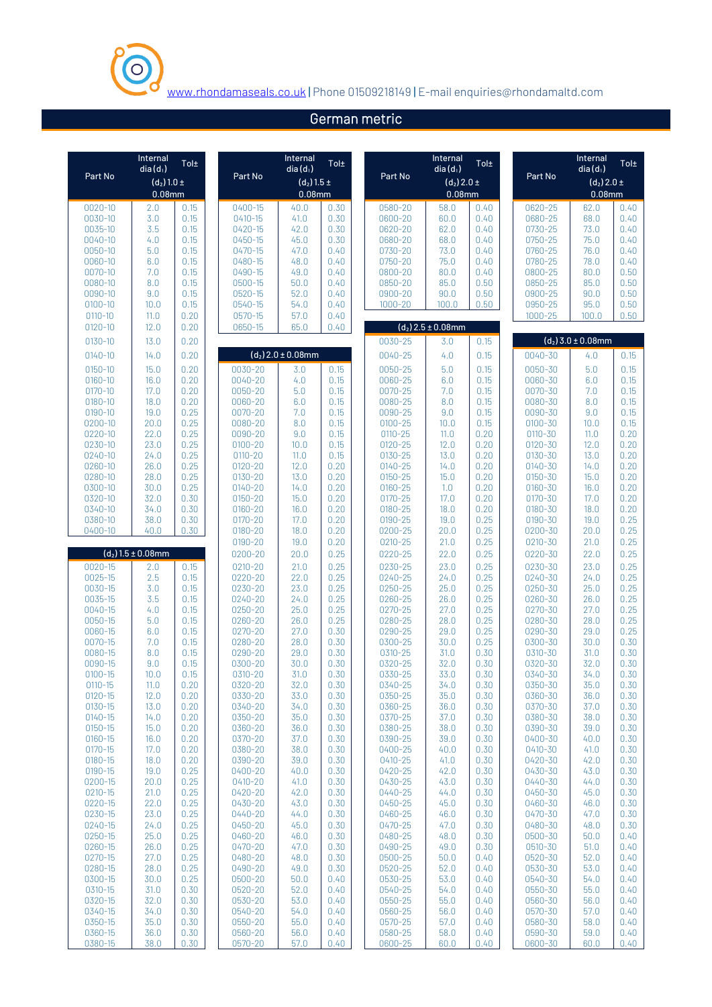

### German metric

| Part No                    | Internal<br>$dia(d_1)$<br>$(d_2)$ 1.0 ±<br>0.08mm | Tol±         | Part No                | Internal<br>$dia(d_1)$<br>$(d_2)$ 1.5 ±<br>$0.08$ mm | Tol±         | Part No                    | Internal<br>$dia(d_1)$<br>$(d_2)$ 2.0 ±<br>$0.08$ mm | Tol±         | Part No                    | Internal<br>$dia(d_1)$<br>$(d_2)$ 2.0 ±<br>0.08mm | Tol±         |
|----------------------------|---------------------------------------------------|--------------|------------------------|------------------------------------------------------|--------------|----------------------------|------------------------------------------------------|--------------|----------------------------|---------------------------------------------------|--------------|
| $0020 - 10$                | 2.0                                               | 0.15         | $0400 - 15$            | 40.0                                                 | 0.30         | 0580-20                    | 58.0                                                 | 0.40         | 0620-25                    | 62.0                                              | 0.40         |
| 0030-10                    | 3.0                                               | 0.15         | $0410 - 15$            | 41.0                                                 | 0.30         | 0600-20                    | 60.0                                                 | 0.40         | 0680-25                    | 68.0                                              | 0.40         |
| 0035-10                    | 3.5                                               | 0.15         | $0420 - 15$            | 42.0                                                 | 0.30         | 0620-20                    | 62.0                                                 | 0.40         | 0730-25                    | 73.0                                              | 0.40         |
| 0040-10                    | 4.0                                               | 0.15         | 0450-15                | 45.0                                                 | 0.30         | 0680-20                    | 68.0                                                 | 0.40         | 0750-25                    | 75.0                                              | 0.40         |
| 0050-10                    | 5.0                                               | 0.15         | $0470 - 15$            | 47.0                                                 | 0.40         | 0730-20                    | 73.0                                                 | 0.40         | 0760-25                    | 76.0                                              | 0.40         |
| 0060-10                    | 6.0                                               | 0.15         | 0480-15                | 48.0                                                 | 0.40         | 0750-20                    | 75.0                                                 | 0.40         | 0780-25                    | 78.0                                              | 0.40         |
| $0070 - 10$<br>0080-10     | 7.0<br>8.0                                        | 0.15<br>0.15 | $0490 - 15$<br>0500-15 | 49.0                                                 | 0.40<br>0.40 | 0800-20<br>0850-20         | 80.0<br>85.0                                         | 0.40         | 0800-25<br>0850-25         | 80.0<br>85.0                                      | 0.50<br>0.50 |
| 0090-10                    | 9.0                                               | 0.15         | $0520 - 15$            | 50.0<br>52.0                                         | 0.40         | 0900-20                    | 90.0                                                 | 0.50<br>0.50 | 0900-25                    | 90.0                                              | 0.50         |
| $0100 - 10$                | 10.0                                              | 0.15         | 0540-15                | 54.0                                                 | 0.40         | $1000 - 20$                | 100.0                                                | 0.50         | 0950-25                    | 95.0                                              | 0.50         |
| $0110 - 10$                | 11.0                                              | 0.20         | $0570 - 15$            | 57.0                                                 | 0.40         |                            |                                                      |              | $1000 - 25$                | 100.0                                             | 0.50         |
| $0120 - 10$                | 12.0                                              | 0.20         | 0650-15                | 65.0                                                 | 0.40         |                            | $(d_2)$ 2.5 ± 0.08mm                                 |              |                            |                                                   |              |
| 0130-10                    | 13.0                                              | 0.20         |                        |                                                      |              | 0030-25                    | 3.0                                                  | 0.15         |                            | $(d_2)$ 3.0 ± 0.08mm                              |              |
| $0140 - 10$                | 14.0                                              | 0.20         |                        | $(d_2)$ 2.0 ± 0.08mm                                 |              | 0040-25                    | 4.0                                                  | 0.15         | 0040-30                    | 4.0                                               | 0.15         |
| 0150-10                    | 15.0                                              | 0.20         | 0030-20                | 3.0                                                  | 0.15         | 0050-25                    | 5.0                                                  | 0.15         | 0050-30                    | 5.0                                               | 0.15         |
| 0160-10                    | 16.0                                              | 0.20         | 0040-20                | 4.0                                                  | 0.15         | 0060-25                    | 6.0                                                  | 0.15         | 0060-30                    | 6.0                                               | 0.15         |
| $0170 - 10$                | 17.0                                              | 0.20         | 0050-20                | 5.0                                                  | 0.15         | 0070-25                    | 7.0                                                  | 0.15         | 0070-30                    | 7.0                                               | 0.15         |
| $0180 - 10$                | 18.0                                              | 0.20         | 0060-20                | 6.0                                                  | 0.15         | 0080-25                    | 8.0                                                  | 0.15         | 0080-30                    | 8.0                                               | 0.15         |
| 0190-10                    | 19.0                                              | 0.25         | $0070 - 20$            | 7.0                                                  | 0.15         | 0090-25                    | 9.0                                                  | 0.15         | 0090-30                    | 9.0                                               | 0.15         |
| 0200-10                    | 20.0<br>22.0                                      | 0.25         | 0080-20                | 8.0                                                  | 0.15<br>0.15 | $0100 - 25$                | 10.0                                                 | 0.15         | $0100 - 30$                | 10.0<br>11.0                                      | 0.15         |
| 0220-10<br>0230-10         | 23.0                                              | 0.25<br>0.25 | 0090-20<br>$0100 - 20$ | 9.0<br>10.0                                          | 0.15         | $0110 - 25$<br>$0120 - 25$ | 11.0<br>12.0                                         | 0.20<br>0.20 | $0110 - 30$<br>$0120 - 30$ | 12.0                                              | 0.20<br>0.20 |
| 0240-10                    | 24.0                                              | 0.25         | $0110 - 20$            | 11.0                                                 | 0.15         | 0130-25                    | 13.0                                                 | 0.20         | 0130-30                    | 13.0                                              | 0.20         |
| 0260-10                    | 26.0                                              | 0.25         | 0120-20                | 12.0                                                 | 0.20         | $0140 - 25$                | 14.0                                                 | 0.20         | 0140-30                    | 14.0                                              | 0.20         |
| 0280-10                    | 28.0                                              | 0.25         | 0130-20                | 13.0                                                 | 0.20         | 0150-25                    | 15.0                                                 | 0.20         | $0150 - 30$                | 15.0                                              | 0.20         |
| 0300-10                    | 30.0                                              | 0.25         | $0140 - 20$            | 14.0                                                 | 0.20         | 0160-25                    | 1.0                                                  | 0.20         | 0160-30                    | 16.0                                              | 0.20         |
| 0320-10                    | 32.0                                              | 0.30         | 0150-20<br>$0160 - 20$ | 15.0                                                 | 0.20         | $0170 - 25$                | 17.0                                                 | 0.20         | $0170 - 30$                | 17.0                                              | 0.20         |
| 0340-10<br>0380-10         | 34.0<br>38.0                                      | 0.30<br>0.30 | $0170 - 20$            | 16.0<br>17.0                                         | 0.20<br>0.20 | 0180-25<br>0190-25         | 18.0<br>19.0                                         | 0.20<br>0.25 | 0180-30<br>0190-30         | 18.0<br>19.0                                      | 0.20<br>0.25 |
| 0400-10                    | 40.0                                              | 0.30         | 0180-20                | 18.0                                                 | 0.20         | 0200-25                    | 20.0                                                 | 0.25         | 0200-30                    | 20.0                                              | 0.25         |
|                            |                                                   |              | 0190-20                | 19.0                                                 | 0.20         | $0210 - 25$                | 21.0                                                 | 0.25         | $0210 - 30$                | 21.0                                              | 0.25         |
|                            | $(d_2)$ 1.5 ± 0.08mm                              |              | 0200-20                | 20.0                                                 | 0.25         | 0220-25                    | 22.0                                                 | 0.25         | 0220-30                    | 22.0                                              | 0.25         |
| 0020-15                    | 2.0                                               | 0.15         | 0210-20                | 21.0                                                 | 0.25         | 0230-25                    | 23.0                                                 | 0.25         | 0230-30                    | 23.0                                              | 0.25         |
| $0025 - 15$                | 2.5                                               | 0.15         | 0220-20                | 22.0                                                 | 0.25         | 0240-25                    | 24.0                                                 | 0.25         | 0240-30                    | 24.0                                              | 0.25         |
| 0030-15                    | 3.0                                               | 0.15         | 0230-20                | 23.0                                                 | 0.25         | 0250-25                    | 25.0                                                 | 0.25         | 0250-30                    | 25.0                                              | 0.25         |
| 0035-15                    | 3.5<br>4.0                                        | 0.15         | 0240-20<br>0250-20     | 24.0                                                 | 0.25         | 0260-25<br>0270-25         | 26.0<br>27.0                                         | 0.25         | 0260-30                    | 26.0                                              | 0.25         |
| 0040-15<br>0050-15         | 5.0                                               | 0.15<br>0.15 | 0260-20                | 25.0<br>26.0                                         | 0.25<br>0.25 | 0280-25                    | 28.0                                                 | 0.25<br>0.25 | 0270-30<br>0280-30         | 27.0<br>28.0                                      | 0.25<br>0.25 |
| 0060-15                    | 6.0                                               | 0.15         | 0270-20                | 27.0                                                 | 0.30         | 0290-25                    | 29.0                                                 | 0.25         | 0290-30                    | 29.0                                              | 0.25         |
| 0070-15                    | 7.0                                               | 0.15         | 0280-20                | 28.0                                                 | 0.30         | 0300-25                    | 30.0                                                 | 0.25         | 0300-30                    | 30.0                                              | 0.30         |
| 0080-15                    | 8.0                                               | 0.15         | 0290-20                | 29.0                                                 | 0.30         | 0310-25                    | 31.0                                                 | 0.30         | 0310-30                    | 31.0                                              | 0.30         |
| 0090-15                    | 9.0                                               | 0.15         | 0300-20                | 30.0                                                 | 0.30         | 0320-25                    | 32.0                                                 | 0.30         | 0320-30                    | 32.0                                              | 0.30         |
| $0100 - 15$                | 10.0                                              | 0.15         | 0310-20                | 31.0                                                 | 0.30         | 0330-25                    | 33.0                                                 | 0.30         | 0340-30                    | 34.0                                              | 0.30         |
| $0110 - 15$<br>$0120 - 15$ | 11.0<br>12.0                                      | 0.20<br>0.20 | 0320-20<br>0330-20     | 32.0<br>33.0                                         | 0.30<br>0.30 | 0340-25<br>0350-25         | 34.0<br>35.0                                         | 0.30<br>0.30 | 0350-30<br>0360-30         | 35.0<br>36.0                                      | 0.30<br>0.30 |
| $0130 - 15$                | 13.0                                              | 0.20         | 0340-20                | 34.0                                                 | 0.30         | 0360-25                    | 36.0                                                 | 0.30         | 0370-30                    | 37.0                                              | 0.30         |
| 0140-15                    | 14.0                                              | 0.20         | 0350-20                | 35.0                                                 | 0.30         | 0370-25                    | 37.0                                                 | 0.30         | 0380-30                    | 38.0                                              | 0.30         |
| $0150 - 15$                | 15.0                                              | 0.20         | 0360-20                | 36.0                                                 | 0.30         | 0380-25                    | 38.0                                                 | 0.30         | 0390-30                    | 39.0                                              | 0.30         |
| $0160 - 15$                | 16.0                                              | 0.20         | 0370-20                | 37.0                                                 | 0.30         | 0390-25                    | 39.0                                                 | 0.30         | 0400-30                    | 40.0                                              | 0.30         |
| $0170 - 15$                | 17.0                                              | 0.20         | 0380-20                | 38.0                                                 | 0.30         | 0400-25                    | 40.0                                                 | 0.30         | 0410-30                    | 41.0                                              | 0.30         |
| 0180-15<br>$0190 - 15$     | 18.0<br>19.0                                      | 0.20<br>0.25 | 0390-20<br>0400-20     | 39.0<br>40.0                                         | 0.30<br>0.30 | 0410-25<br>0420-25         | 41.0<br>42.0                                         | 0.30<br>0.30 | 0420-30<br>0430-30         | 42.0<br>43.0                                      | 0.30<br>0.30 |
| 0200-15                    | 20.0                                              | 0.25         | $0410 - 20$            | 41.0                                                 | 0.30         | 0430-25                    | 43.0                                                 | 0.30         | 0440-30                    | 44.0                                              | 0.30         |
| $0210 - 15$                | 21.0                                              | 0.25         | 0420-20                | 42.0                                                 | 0.30         | 0440-25                    | 44.0                                                 | 0.30         | 0450-30                    | 45.0                                              | 0.30         |
| 0220-15                    | 22.0                                              | 0.25         | 0430-20                | 43.0                                                 | 0.30         | 0450-25                    | 45.0                                                 | 0.30         | 0460-30                    | 46.0                                              | 0.30         |
| 0230-15                    | 23.0                                              | 0.25         | 0440-20                | 44.0                                                 | 0.30         | 0460-25                    | 46.0                                                 | 0.30         | 0470-30                    | 47.0                                              | 0.30         |
| 0240-15                    | 24.0<br>25.0                                      | 0.25         | 0450-20<br>0460-20     | 45.0<br>46.0                                         | 0.30<br>0.30 | 0470-25<br>0480-25         | 47.0<br>48.0                                         | 0.30<br>0.30 | 0480-30<br>0500-30         | 48.0<br>50.0                                      | 0.30<br>0.40 |
| 0250-15<br>0260-15         | 26.0                                              | 0.25<br>0.25 | 0470-20                | 47.0                                                 | 0.30         | 0490-25                    | 49.0                                                 | 0.30         | 0510-30                    | 51.0                                              | 0.40         |
| 0270-15                    | 27.0                                              | 0.25         | 0480-20                | 48.0                                                 | 0.30         | 0500-25                    | 50.0                                                 | 0.40         | 0520-30                    | 52.0                                              | 0.40         |
| 0280-15                    | 28.0                                              | 0.25         | 0490-20                | 49.0                                                 | 0.30         | 0520-25                    | 52.0                                                 | 0.40         | 0530-30                    | 53.0                                              | 0.40         |
| 0300-15                    | 30.0                                              | 0.25         | 0500-20                | 50.0                                                 | 0.40         | 0530-25                    | 53.0                                                 | 0.40         | 0540-30                    | 54.0                                              | 0.40         |
| 0310-15                    | 31.0                                              | 0.30         | 0520-20                | 52.0                                                 | 0.40         | 0540-25                    | 54.0                                                 | 0.40         | 0550-30                    | 55.0                                              | 0.40         |
| 0320-15<br>0340-15         | 32.0<br>34.0                                      | 0.30<br>0.30 | 0530-20<br>0540-20     | 53.0<br>54.0                                         | 0.40<br>0.40 | 0550-25<br>0560-25         | 55.0<br>56.0                                         | 0.40<br>0.40 | 0560-30<br>0570-30         | 56.0<br>57.0                                      | 0.40<br>0.40 |
| 0350-15                    | 35.0                                              | 0.30         | 0550-20                | 55.0                                                 | 0.40         | 0570-25                    | 57.0                                                 | 0.40         | 0580-30                    | 58.0                                              | 0.40         |
| 0360-15                    | 36.0                                              | 0.30         | 0560-20                | 56.0                                                 | 0.40         | 0580-25                    | 58.0                                                 | 0.40         | 0590-30                    | 59.0                                              | 0.40         |
| 0380-15                    | 38.0                                              | 0.30         | 0570-20                | 57.0                                                 | 0.40         | 0600-25                    | 60.0                                                 | 0.40         | 0600-30                    | 60.0                                              | 0.40         |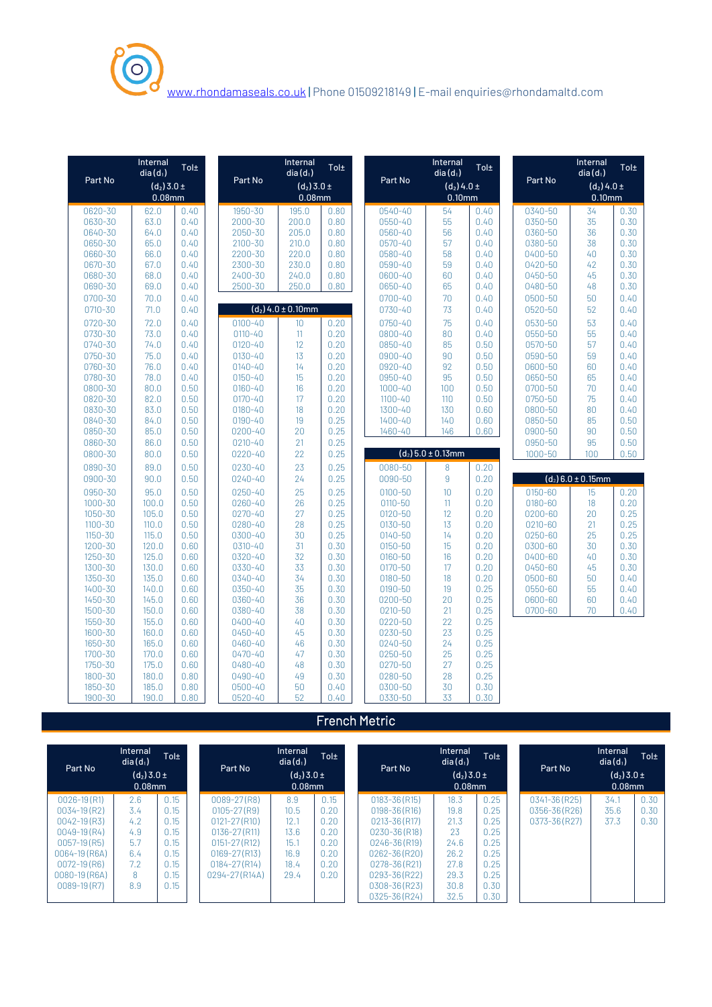

|                    | Internal<br>$dia(d_1)$ | Tol±         |                    | Internal<br>$dia(d_1)$ | Tol±         |                    | Internal<br>$dia(d_1)$ | Tol±         |             | Internal<br>$dia(d_1)$ | Tol± |
|--------------------|------------------------|--------------|--------------------|------------------------|--------------|--------------------|------------------------|--------------|-------------|------------------------|------|
| Part No            | $(d_2)$ 3.0 ±          |              | Part No            | $(d_2)$ 3.0 ±          |              | Part No            | $(d_2)$ 4.0 ±          |              | Part No     | $(d_2)$ 4.0 ±          |      |
|                    | 0.08 <sub>mm</sub>     |              |                    | 0.08 <sub>mm</sub>     |              |                    | $0.10$ mm              |              |             | 0.10 <sub>mm</sub>     |      |
| 0620-30            | 62.0                   | 0.40         | 1950-30            | 195.0                  | 0.80         | 0540-40            | 54                     | 0.40         | 0340-50     | 34                     | 0.30 |
| 0630-30            | 63.0                   | 0.40         | 2000-30            | 200.0                  | 0.80         | 0550-40            | 55                     | 0.40         | 0350-50     | 35                     | 0.30 |
| 0640-30            | 64.0                   | 0.40         | 2050-30            | 205.0                  | 0.80         | 0560-40            | 56                     | 0.40         | 0360-50     | 36                     | 0.30 |
| 0650-30            | 65.0                   | 0.40         | 2100-30            | 210.0                  | 0.80         | $0570 - 40$        | 57                     | 0.40         | 0380-50     | 38                     | 0.30 |
| 0660-30            | 66.0                   | 0.40         | 2200-30            | 220.0                  | 0.80         | 0580-40            | 58                     | 0.40         | 0400-50     | 40                     | 0.30 |
| 0670-30            | 67.0                   | 0.40         | 2300-30            | 230.0                  | 0.80         | 0590-40            | 59                     | 0.40         | 0420-50     | 42                     | 0.30 |
| 0680-30            | 68.0                   | 0.40         | 2400-30            | 240.0                  | 0.80         | 0600-40            | 60                     | 0.40         | 0450-50     | 45                     | 0.30 |
| 0690-30            | 69.0                   | 0.40         | 2500-30            | 250.0                  | 0.80         | 0650-40            | 65                     | 0.40         | 0480-50     | 48                     | 0.30 |
| 0700-30            | 70.0                   | 0.40         |                    |                        |              | 0700-40            | 70                     | 0.40         | 0500-50     | 50                     | 0.40 |
| 0710-30            | 71.0                   | 0.40         |                    | $(d_2)$ 4.0 ± 0.10mm   |              | 0730-40            | 73                     | 0.40         | 0520-50     | 52                     | 0.40 |
| 0720-30            | 72.0                   | 0.40         | $0100 - 40$        | 10                     | 0.20         | 0750-40            | 75                     | 0.40         | 0530-50     | 53                     | 0.40 |
| 0730-30            | 73.0                   | 0.40         | $0110 - 40$        | 11                     | 0.20         | 0800-40            | 80                     | 0.40         | 0550-50     | 55                     | 0.40 |
| 0740-30            | 74.0                   | 0.40         | $0120 - 40$        | 12                     | 0.20         | 0850-40            | 85                     | 0.50         | 0570-50     | 57                     | 0.40 |
| 0750-30            | 75.0                   | 0.40         | 0130-40            | 13                     | 0.20         | 0900-40            | 90                     | 0.50         | 0590-50     | 59                     | 0.40 |
| 0760-30            | 76.0                   | 0.40         | $0140 - 40$        | 14                     | 0.20         | 0920-40            | 92                     | 0.50         | 0600-50     | 60                     | 0.40 |
| 0780-30            | 78.0                   | 0.40         | $0150 - 40$        | 15                     | 0.20         | 0950-40            | 95                     | 0.50         | 0650-50     | 65                     | 0.40 |
| 0800-30            | 80.0                   | 0.50         | $0160 - 40$        | 16                     | 0.20         | $1000 - 40$        | 100                    | 0.50         | 0700-50     | 70                     | 0.40 |
| 0820-30            | 82.0                   | 0.50         | $0170 - 40$        | 17                     | 0.20         | $1100 - 40$        | 110                    | 0.50         | 0750-50     | 75                     | 0.40 |
| 0830-30            | 83.0                   | 0.50         | $0180 - 40$        | 18                     | 0.20         | 1300-40            | 130                    | 0.60         | 0800-50     | 80                     | 0.40 |
| 0840-30            | 84.0                   | 0.50         | $0190 - 40$        | 19                     | 0.25         | $1400 - 40$        | 140                    | 0.60         | 0850-50     | 85                     | 0.50 |
| 0850-30            | 85.0                   | 0.50         | 0200-40            | 20                     | 0.25         | 1460-40            | 146                    | 0.60         | 0900-50     | 90                     | 0.50 |
| 0860-30            | 86.0                   | 0.50         | $0210 - 40$        | 21                     | 0.25         |                    |                        |              | 0950-50     | 95                     | 0.50 |
| 0800-30            | 80.0                   | 0.50         | 0220-40            | 22                     | 0.25         |                    | $(d_2)$ 5.0 ± 0.13mm   |              | $1000 - 50$ | 100                    | 0.50 |
| 0890-30            | 89.0                   | 0.50         | 0230-40            | 23                     | 0.25         | 0080-50            | 8                      | 0.20         |             |                        |      |
| 0900-30            | 90.0                   | 0.50         | 0240-40            | 24                     | 0.25         | 0090-50            | 9                      | 0.20         |             | $(d_2)$ 6.0 ± 0.15mm   |      |
| 0950-30            | 95.0                   | 0.50         | 0250-40            | 25                     | 0.25         | $0100 - 50$        | 10                     | 0.20         | $0150 - 60$ | 15                     | 0.20 |
| 1000-30            | 100.0                  | 0.50         | 0260-40            | 26                     | 0.25         | 0110-50            | 11                     | 0.20         | $0180 - 60$ | 18                     | 0.20 |
| 1050-30            | 105.0                  | 0.50         | 0270-40            | 27                     | 0.25         | 0120-50            | 12                     | 0.20         | 0200-60     | 20                     | 0.25 |
| $1100 - 30$        | 110.0                  | 0.50         | 0280-40            | 28                     | 0.25         | 0130-50            | 13                     | 0.20         | $0210 - 60$ | 21                     | 0.25 |
| $1150 - 30$        | 115.0                  | 0.50         | 0300-40            | 30                     | 0.25         | $0140 - 50$        | 14                     | 0.20         | 0250-60     | 25                     | 0.25 |
| 1200-30            | 120.0                  | 0.60         | 0310-40            | 31                     | 0.30         | 0150-50            | 15                     | 0.20         | 0300-60     | 30                     | 0.30 |
| 1250-30            | 125.0                  | 0.60         | 0320-40            | 32                     | 0.30         | 0160-50            | 16                     | 0.20         | 0400-60     | 40                     | 0.30 |
| 1300-30            | 130.0                  | 0.60         | 0330-40            | 33                     | 0.30         | $0170 - 50$        | 17                     | 0.20         | 0450-60     | 45                     | 0.30 |
| 1350-30            | 135.0                  | 0.60         | 0340-40            | 34                     | 0.30         | 0180-50            | 18                     | 0.20         | 0500-60     | 50                     | 0.40 |
| 1400-30            | 140.0                  | 0.60         | 0350-40            | 35                     | 0.30         | 0190-50            | 19                     | 0.25         | 0550-60     | 55                     | 0.40 |
| 1450-30            | 145.0                  | 0.60         | 0360-40            | 36                     | 0.30         | 0200-50            | 20                     | 0.25         | 0600-60     | 60                     | 0.40 |
| 1500-30            | 150.0                  | 0.60         | 0380-40            | 38                     | 0.30         | 0210-50            | 21                     | 0.25         | 0700-60     | 70                     | 0.40 |
| 1550-30            | 155.0                  | 0.60         | 0400-40            | 40                     | 0.30         | 0220-50            | 22                     | 0.25         |             |                        |      |
| 1600-30            | 160.0                  | 0.60         | 0450-40            | 45                     | 0.30         | 0230-50            | 23                     | 0.25         |             |                        |      |
| 1650-30            | 165.0                  | 0.60         | 0460-40            | 46                     | 0.30         | 0240-50            | 24                     | 0.25         |             |                        |      |
| 1700-30            | 170.0                  | 0.60         | 0470-40            | 47                     | 0.30         | 0250-50            | 25                     | 0.25         |             |                        |      |
| 1750-30            | 175.0                  | 0.60         | 0480-40            | 48                     | 0.30         | 0270-50            | 27                     | 0.25         |             |                        |      |
| 1800-30            | 180.0                  | 0.80         | 0490-40            | 49                     | 0.30         | 0280-50            | 28                     | 0.25         |             |                        |      |
| 1850-30<br>1900-30 | 185.0<br>190.0         | 0.80<br>0.80 | 0500-40<br>0520-40 | 50<br>52               | 0.40<br>0.40 | 0300-50<br>0330-50 | 30<br>33               | 0.30<br>0.30 |             |                        |      |
|                    |                        |              |                    |                        |              |                    |                        |              |             |                        |      |

#### French Metric

| Part No          | <b>Internal</b><br>$dia(d_1)$<br>$(d_2)$ 3.0 ±<br>$0.08$ mm | Tol± | Part No          | Internal<br>$dia(d_1)$<br>$(d_2)$ 3.0 ±<br>$0.08$ mm | Tol± | Part No          | Internal<br>$dia(d_1)$<br>$(d_2)$ 3.0 ±<br>$0.08$ mm | Tol± | Part No       | <b>Internal</b><br>$dia(d_1)$<br>$(d_2)$ 3.0 ±<br>$0.08$ mm | Tol± |
|------------------|-------------------------------------------------------------|------|------------------|------------------------------------------------------|------|------------------|------------------------------------------------------|------|---------------|-------------------------------------------------------------|------|
| $0026 - 19(R1)$  | 2.6                                                         | 0.15 | 0089-27(R8)      | 8.9                                                  | 0.15 | $0183 - 36(R15)$ | 18.3                                                 | 0.25 | 0341-36 (R25) | 34.1                                                        | 0.30 |
| $0034 - 19(R2)$  | 3.4                                                         | 0.15 | $0105 - 27(R9)$  | 10.5                                                 | 0.20 | $0198 - 36(R16)$ | 19.8                                                 | 0.25 | 0356-36 (R26) | 35.6                                                        | 0.30 |
| $0042 - 19(R3)$  | 4.2                                                         | 0.15 | $0121 - 27(R10)$ | 12.1                                                 | 0.20 | $0213 - 36(R17)$ | 21.3                                                 | 0.25 | 0373-36 (R27) | 37.3                                                        | 0.30 |
| $0049 - 19(R4)$  | 4.9                                                         | 0.15 | $0136 - 27(R11)$ | 13.6                                                 | 0.20 | 0230-36 (R18)    | 23                                                   | 0.25 |               |                                                             |      |
| $0057 - 19(R5)$  | 5.7                                                         | 0.15 | $0151 - 27(R12)$ | 15.1                                                 | 0.20 | 0246-36(R19)     | 74.6                                                 | 0.25 |               |                                                             |      |
| $0064 - 19(R6A)$ | 6.4                                                         | 0.15 | $0169 - 27(R13)$ | 16.9                                                 | 0.20 | 0262-36 (R20)    | 26.2                                                 | 0.25 |               |                                                             |      |
| $0072 - 19(R6)$  | $7.2^{\circ}$                                               | 0.15 | $0184 - 27(R14)$ | 18.4                                                 | 0.20 | 0278-36(R21)     | 27.8                                                 | 0.25 |               |                                                             |      |
| $0080 - 19(R6A)$ | 8                                                           | 0.15 | 0294-27(R14A)    | 29.4                                                 | 0.20 | 0293-36 (R22)    | 29.3                                                 | 0.25 |               |                                                             |      |
| $0089 - 19(R7)$  | 8.9                                                         | 0.15 |                  |                                                      |      | 0308-36 (R23)    | 30.8                                                 | 0.30 |               |                                                             |      |
|                  |                                                             |      |                  |                                                      |      | 0325-36 (R24)    | 32.5                                                 | 0.30 |               |                                                             |      |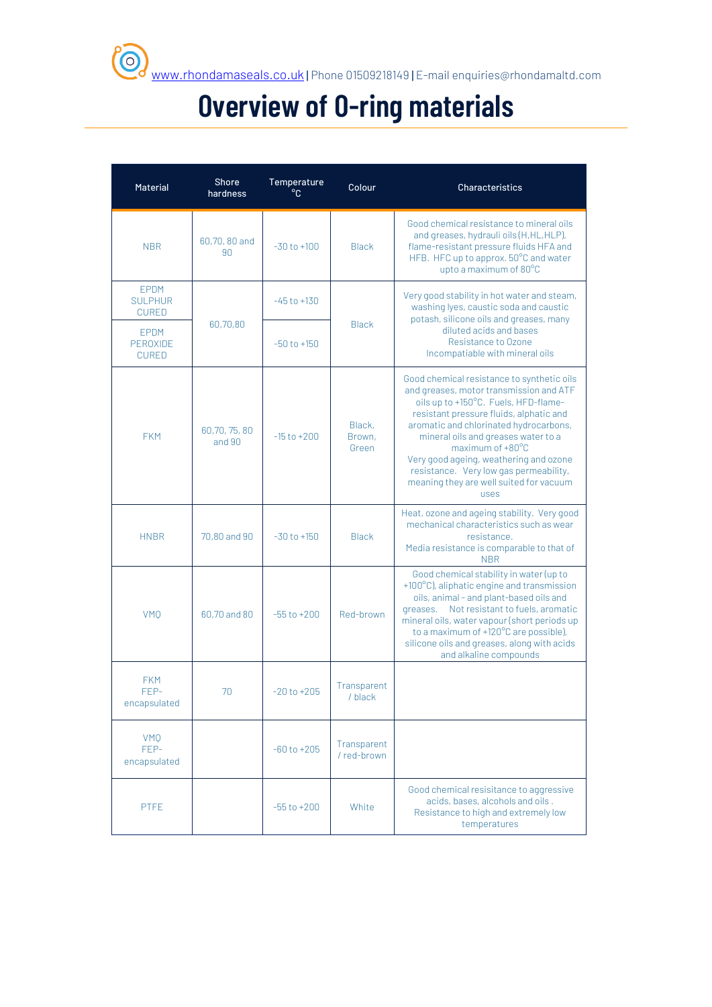## **Overview of O-ring materials**

| Material                                | Shore<br>hardness     | Temperature<br>$^{\circ}$ C | Colour                     | Characteristics                                                                                                                                                                                                                                                                                                                                                                                                      |
|-----------------------------------------|-----------------------|-----------------------------|----------------------------|----------------------------------------------------------------------------------------------------------------------------------------------------------------------------------------------------------------------------------------------------------------------------------------------------------------------------------------------------------------------------------------------------------------------|
| <b>NBR</b>                              | 60,70,80 and<br>90    | $-30$ to $+100$             | <b>Black</b>               | Good chemical resistance to mineral oils<br>and greases, hydrauli oils (H, HL, HLP),<br>flame-resistant pressure fluids HFA and<br>HFB. HFC up to approx. 50°C and water<br>upto a maximum of 80°C                                                                                                                                                                                                                   |
| EPDM<br><b>SULPHUR</b><br><b>CURED</b>  |                       | $-45$ to $+130$             |                            | Very good stability in hot water and steam,<br>washing lyes, caustic soda and caustic<br>potash, silicone oils and greases, many                                                                                                                                                                                                                                                                                     |
| <b>EPDM</b><br>PEROXIDE<br><b>CURED</b> | 60,70,80              | $-50$ to $+150$             | <b>Black</b>               | diluted acids and bases<br>Resistance to Ozone<br>Incompatiable with mineral oils                                                                                                                                                                                                                                                                                                                                    |
| <b>FKM</b>                              | 60,70,75,80<br>and 90 | $-15$ to $+200$             | Black,<br>Brown,<br>Green  | Good chemical resistance to synthetic oils<br>and greases, motor transmission and ATF<br>oils up to +150°C. Fuels, HFD-flame-<br>resistant pressure fluids, alphatic and<br>aromatic and chlorinated hydrocarbons,<br>mineral oils and greases water to a<br>maximum of +80°C<br>Very good ageing, weathering and ozone<br>resistance. Very low gas permeability,<br>meaning they are well suited for vacuum<br>uses |
| <b>HNBR</b>                             | 70,80 and 90          | $-30$ to $+150$             | <b>Black</b>               | Heat, ozone and ageing stability. Very good<br>mechanical characteristics such as wear<br>resistance.<br>Media resistance is comparable to that of<br><b>NBR</b>                                                                                                                                                                                                                                                     |
| <b>VMO</b>                              | 60,70 and 80          | $-55$ to $+200$             | Red-brown                  | Good chemical stability in water (up to<br>+100°C), aliphatic engine and transmission<br>oils, animal - and plant-based oils and<br>Not resistant to fuels, aromatic<br>greases.<br>mineral oils, water vapour (short periods up<br>to a maximum of +120°C are possible),<br>silicone oils and greases, along with acids<br>and alkaline compounds                                                                   |
| <b>FKM</b><br>FEP-<br>encapsulated      | 70                    | $-20$ to $+205$             | Transparent<br>/ black     |                                                                                                                                                                                                                                                                                                                                                                                                                      |
| <b>VMO</b><br>FEP-<br>encapsulated      |                       | $-60$ to $+205$             | Transparent<br>/ red-brown |                                                                                                                                                                                                                                                                                                                                                                                                                      |
| PTFE                                    |                       | $-55$ to $+200$             | White                      | Good chemical resisitance to aggressive<br>acids, bases, alcohols and oils.<br>Resistance to high and extremely low<br>temperatures                                                                                                                                                                                                                                                                                  |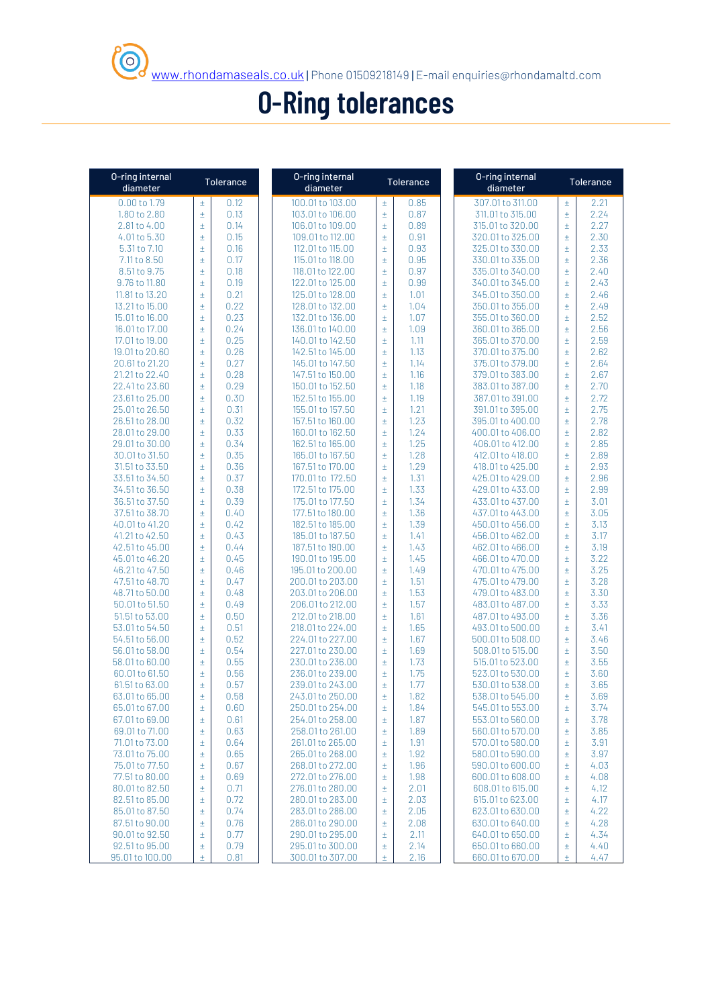## **O-Ring tolerances**

 $\odot$ 

| 0-ring internal<br>diameter |       | <b>Tolerance</b> | 0-ring internal<br>diameter |         | Tolerance | O-ring internal<br>diameter |       | Tolerance |
|-----------------------------|-------|------------------|-----------------------------|---------|-----------|-----------------------------|-------|-----------|
| 0.00 to 1.79                | Ŧ     | 0.12             | 100.01 to 103.00            | $\pm$   | 0.85      | 307.01 to 311.00            | $\pm$ | 2.21      |
| 1.80 to 2.80                | $\pm$ | 0.13             | 103.01 to 106.00            | $\pm$   | 0.87      | 311.01 to 315.00            | $\pm$ | 2.24      |
| 2.81 to 4.00                | Ŧ     | 0.14             | 106.01 to 109.00            | $\pm$   | 0.89      | 315.01 to 320.00            | $\pm$ | 2.27      |
| 4.01 to 5.30                | Ŧ     | 0.15             | 109.01 to 112.00            | $\pm$   | 0.91      | 320.01 to 325.00            | $\pm$ | 2.30      |
| 5.31 to 7.10                | Ŧ     | 0.16             | 112.01 to 115.00            | $\pm$   | 0.93      | 325.01 to 330.00            | $\pm$ | 2.33      |
| 7.11 to 8.50                | $\pm$ | 0.17             | 115.01 to 118.00            | $\pm$   | 0.95      | 330.01 to 335.00            | $\pm$ | 2.36      |
| 8.51 to 9.75                | Ŧ     | 0.18             | 118.01 to 122.00            | $\pm$   | 0.97      | 335.01 to 340.00            | $\pm$ | 2.40      |
| 9.76 to 11.80               | Ŧ     | 0.19             | 122.01 to 125.00            | $\pm$   | 0.99      | 340.01 to 345.00            | $\pm$ | 2.43      |
| 11.81 to 13.20              | Ŧ     | 0.21             | 125.01 to 128.00            | $\pm$   | 1.01      | 345.01 to 350.00            | $\pm$ | 2.46      |
| 13.21 to 15.00              | Ŧ     | 0.22             | 128.01 to 132.00            | $\pm$   | 1.04      | 350.01 to 355.00            | $\pm$ | 2.49      |
| 15.01 to 16.00              | $\pm$ | 0.23             | 132.01 to 136.00            | $\pm$   | 1.07      | 355.01 to 360.00            | $\pm$ | 2.52      |
| 16.01 to 17.00              | Ŧ     | 0.24             | 136.01 to 140.00            | $\pm$   | 1.09      | 360.01 to 365.00            | $\pm$ | 2.56      |
| 17.01 to 19.00              | Ŧ     | 0.25             | 140.01 to 142.50            | $\pm$   | 1.11      | 365.01 to 370.00            | $\pm$ | 2.59      |
|                             |       |                  |                             |         |           |                             |       |           |
| 19.01 to 20.60              | $\pm$ | 0.26             | 142.51 to 145.00            | $\pm$   | 1.13      | 370.01 to 375.00            | $\pm$ | 2.62      |
| 20.61 to 21.20              | Ŧ     | 0.27             | 145.01 to 147.50            | $\pm$   | 1.14      | 375.01 to 379.00            | $\pm$ | 2.64      |
| 21.21 to 22.40              | $\pm$ | 0.28             | 147.51 to 150.00            | $\pm$   | 1.16      | 379.01 to 383.00            | $\pm$ | 2.67      |
| 22.41 to 23.60              | Ŧ     | 0.29             | 150.01 to 152.50            | $\pm$   | 1.18      | 383.01 to 387.00            | $\pm$ | 2.70      |
| 23.61 to 25.00              | $\pm$ | 0.30             | 152.51 to 155.00            | $\pm$   | 1.19      | 387.01 to 391.00            | $\pm$ | 2.72      |
| 25.01 to 26.50              | $\pm$ | 0.31             | 155.01 to 157.50            | $\pm$   | 1.21      | 391.01 to 395.00            | $\pm$ | 2.75      |
| 26.51 to 28.00              | Ŧ     | 0.32             | 157.51 to 160.00            | $\pm$   | 1.23      | 395.01 to 400.00            | $\pm$ | 2.78      |
| 28.01 to 29.00              | $\pm$ | 0.33             | 160.01 to 162.50            | $\pm$   | 1.24      | 400.01 to 406.00            | $\pm$ | 2.82      |
| 29.01 to 30.00              | Ŧ     | 0.34             | 162.51 to 165.00            | $\pm$   | 1.25      | 406.01 to 412.00            | $\pm$ | 2.85      |
| 30.01 to 31.50              | $\pm$ | 0.35             | 165.01 to 167.50            | $\pm$   | 1.28      | 412.01 to 418.00            | $\pm$ | 2.89      |
| 31.51 to 33.50              | $\pm$ | 0.36             | 167.51 to 170.00            | $\pm$   | 1.29      | 418.01 to 425.00            | $\pm$ | 2.93      |
| 33.51 to 34.50              | Ŧ     | 0.37             | 170.01 to 172.50            | $\pm$   | 1.31      | 425.01 to 429.00            | $\pm$ | 2.96      |
| 34.51 to 36.50              | $\pm$ | 0.38             | 172.51 to 175.00            | $\pm$   | 1.33      | 429.01 to 433.00            | $\pm$ | 2.99      |
| 36.51 to 37.50              | $\pm$ | 0.39             | 175.01 to 177.50            | $\pm$   | 1.34      | 433.01 to 437.00            | $\pm$ | 3.01      |
| 37.51 to 38.70              | $\pm$ | 0.40             | 177.51 to 180.00            | $\pm$   | 1.36      | 437.01 to 443.00            | $\pm$ | 3.05      |
| 40.01 to 41.20              | $\pm$ | 0.42             | 182.51 to 185.00            | $\pm$   | 1.39      | 450.01 to 456.00            | $\pm$ | 3.13      |
| 41.21 to 42.50              | $\pm$ | 0.43             | 185.01 to 187.50            | $\pm$   | 1.41      | 456.01 to 462.00            | $\pm$ | 3.17      |
| 42.51 to 45.00              | Ŧ     | 0.44             | 187.51 to 190.00            | $\pm$   | 1.43      | 462.01 to 466.00            | $\pm$ | 3.19      |
| 45.01 to 46.20              | $\pm$ | 0.45             | 190.01 to 195.00            | $\pm$   | 1.45      | 466.01 to 470.00            | $\pm$ | 3.22      |
| 46.21 to 47.50              | $\pm$ | 0.46             | 195.01 to 200.00            | $\pm$   | 1.49      | 470.01 to 475.00            | $\pm$ | 3.25      |
| 47.51 to 48.70              | $\pm$ | 0.47             | 200.01 to 203.00            | $\pm$   | 1.51      | 475.01 to 479.00            | $\pm$ | 3.28      |
| 48.71 to 50.00              | Ŧ     | 0.48             | 203.01 to 206.00            | $\pm$   | 1.53      | 479.01 to 483.00            | $\pm$ | 3.30      |
| 50.01 to 51.50              | $\pm$ | 0.49             | 206.01 to 212.00            | $\pm$   | 1.57      | 483.01 to 487.00            | $\pm$ | 3.33      |
| 51.51 to 53.00              | $\pm$ | 0.50             | 212.01 to 218.00            | $\pm$   | 1.61      | 487.01 to 493.00            | $\pm$ | 3.36      |
| 53.01 to 54.50              | $\pm$ | 0.51             | 218.01 to 224.00            | $\pm$   | 1.65      | 493.01 to 500.00            | $\pm$ | 3.41      |
| 54.51 to 56.00              | $\pm$ | 0.52             | 224.01 to 227.00            | $\pm$   | 1.67      | 500.01 to 508.00            | $\pm$ | 3.46      |
| 56.01 to 58.00              | Ŧ     | 0.54             | 227.01 to 230.00            | $\pm$   | 1.69      | 508.01 to 515.00            | $\pm$ | 3.50      |
| 58.01 to 60.00              | Ŧ     | 0.55             | 230.01 to 236.00            | $\pm$   | 1.73      | 515.01 to 523.00            | $\pm$ | 3.55      |
| 60.01 to 61.50              | Ŧ     | 0.56             | 236.01 to 239.00            | $\pm$   | 1.75      | 523.01 to 530.00            | $\pm$ | 3.60      |
| 61.51 to 63.00              | $\pm$ | 0.57             | 239.01 to 243.00            | $\pm$   | 1.77      | 530.01 to 538.00            | $\pm$ | 3.65      |
|                             | Ŧ     | 0.58             |                             | $\ddag$ | 1.82      |                             | $\pm$ | 3.69      |
| 63.01 to 65.00              |       |                  | 243.01 to 250.00            |         |           | 538.01 to 545.00            |       |           |
| 65.01 to 67.00              | Ŧ     | 0.60             | 250.01 to 254.00            | $\pm$   | 1.84      | 545.01 to 553.00            | $\pm$ | 3.74      |
| 67.01 to 69.00              | $\pm$ | 0.61             | 254.01 to 258.00            | $\pm$   | 1.87      | 553.01 to 560.00            | $\pm$ | 3.78      |
| 69.01 to 71.00              | $\pm$ | 0.63             | 258.01 to 261.00            | $\pm$   | 1.89      | 560.01 to 570.00            | $\pm$ | 3.85      |
| 71.01 to 73.00              | Ŧ     | 0.64             | 261.01 to 265.00            | $\pm$   | 1.91      | 570.01 to 580.00            | $\pm$ | 3.91      |
| 73.01 to 75.00              | Ŧ     | 0.65             | 265.01 to 268.00            | $\pm$   | 1.92      | 580.01 to 590.00            | $\pm$ | 3.97      |
| 75.01 to 77.50              | Ŧ     | 0.67             | 268.01 to 272.00            | $\pm$   | 1.96      | 590.01 to 600.00            | $\pm$ | 4.03      |
| 77.51 to 80.00              | $\pm$ | 0.69             | 272.01 to 276.00            | $\pm$   | 1.98      | 600.01 to 608.00            | $\pm$ | 4.08      |
| 80.01 to 82.50              | $\pm$ | 0.71             | 276.01 to 280.00            | $\pm$   | 2.01      | 608.01 to 615.00            | $\pm$ | 4.12      |
| 82.51 to 85.00              | Ŧ     | 0.72             | 280.01 to 283.00            | $\pm$   | 2.03      | 615.01 to 623.00            | $\pm$ | 4.17      |
| 85.01 to 87.50              | Ŧ     | 0.74             | 283.01 to 286.00            | $\pm$   | 2.05      | 623.01 to 630.00            | $\pm$ | 4.22      |
| 87.51 to 90.00              | Ŧ     | 0.76             | 286.01 to 290.00            | $\pm$   | 2.08      | 630.01 to 640.00            | $\pm$ | 4.28      |
| 90.01 to 92.50              | Ŧ     | 0.77             | 290.01 to 295.00            | $\pm$   | 2.11      | 640.01 to 650.00            | $\pm$ | 4.34      |
| 92.51 to 95.00              | $\pm$ | 0.79             | 295.01 to 300.00            | $\pm$   | 2.14      | 650.01 to 660.00            | $\pm$ | 4.40      |
| 95.01 to 100.00             | Ŧ     | 0.81             | 300.01 to 307.00            | Ŧ       | 2.16      | 660.01 to 670.00            | Ŧ     | 4.47      |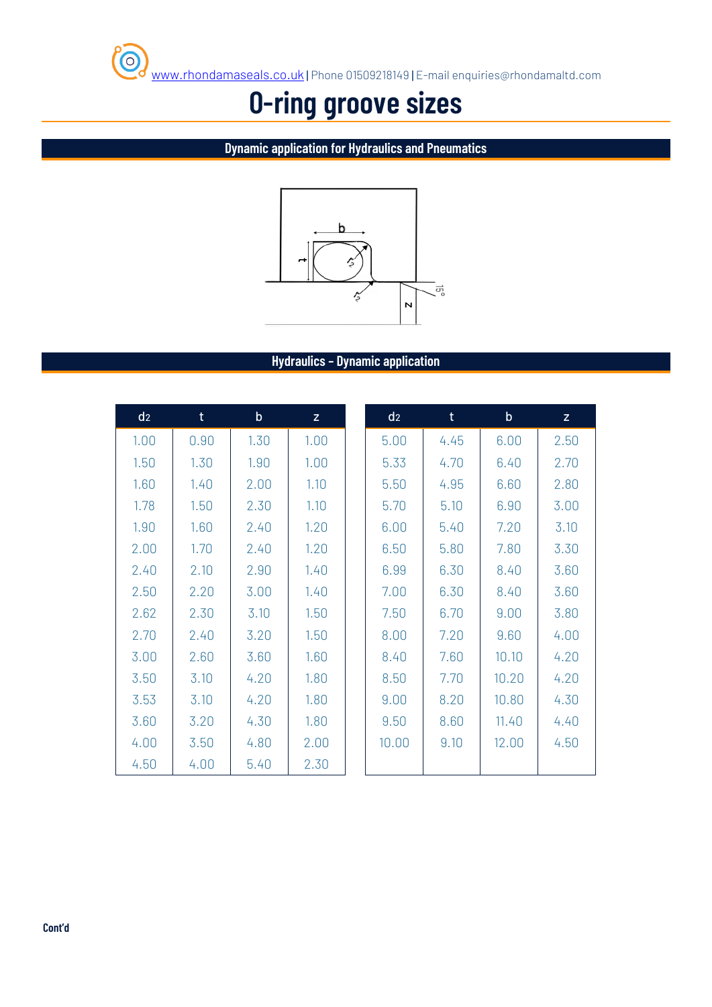

## **O-ring groove sizes**

**Dynamic application for Hydraulics and Pneumatics**



#### **Hydraulics – Dynamic application**

| d <sub>2</sub> | t    | $\mathsf b$ | Z.   | d <sub>2</sub> | $\mathsf{t}$ | $\mathsf{b}$ | Z    |
|----------------|------|-------------|------|----------------|--------------|--------------|------|
| 1.00           | 0.90 | 1.30        | 1.00 | 5.00           | 4.45         | 6.00         | 2.50 |
| 1.50           | 1.30 | 1.90        | 1.00 | 5.33           | 4.70         | 6.40         | 2.70 |
| 1.60           | 1.40 | 2.00        | 1.10 | 5.50           | 4.95         | 6.60         | 2.80 |
| 1.78           | 1.50 | 2.30        | 1.10 | 5.70           | 5.10         | 6.90         | 3.00 |
| 1.90           | 1.60 | 2.40        | 1.20 | 6.00           | 5.40         | 7.20         | 3.10 |
| 2.00           | 1.70 | 2.40        | 1.20 | 6.50           | 5.80         | 7.80         | 3.30 |
| 2.40           | 2.10 | 2.90        | 1.40 | 6.99           | 6.30         | 8.40         | 3.60 |
| 2.50           | 2.20 | 3.00        | 1.40 | 7.00           | 6.30         | 8.40         | 3.60 |
| 2.62           | 2.30 | 3.10        | 1.50 | 7.50           | 6.70         | 9.00         | 3.80 |
| 2.70           | 2.40 | 3.20        | 1.50 | 8.00           | 7.20         | 9.60         | 4.00 |
| 3.00           | 2.60 | 3.60        | 1.60 | 8.40           | 7.60         | 10.10        | 4.20 |
| 3.50           | 3.10 | 4.20        | 1.80 | 8.50           | 7.70         | 10.20        | 4.20 |
| 3.53           | 3.10 | 4.20        | 1.80 | 9.00           | 8.20         | 10.80        | 4.30 |
| 3.60           | 3.20 | 4.30        | 1.80 | 9.50           | 8.60         | 11.40        | 4.40 |
| 4.00           | 3.50 | 4.80        | 2.00 | 10.00          | 9.10         | 12.00        | 4.50 |
| 4.50           | 4.00 | 5.40        | 2.30 |                |              |              |      |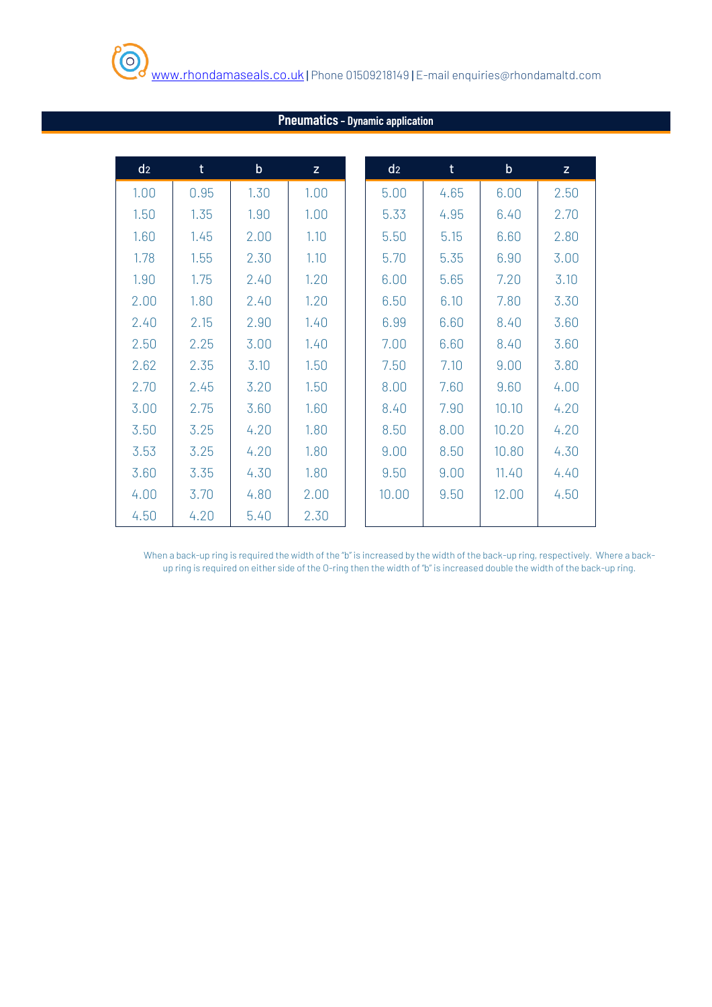| d <sub>2</sub> | $\mathsf{t}$ | $\mathsf b$ | Z    | d <sub>2</sub> | $\mathsf{t}$ | $\mathsf b$ | $\mathsf{Z}$ |
|----------------|--------------|-------------|------|----------------|--------------|-------------|--------------|
| 1.00           | 0.95         | 1.30        | 1.00 | 5.00           | 4.65         | 6.00        | 2.50         |
| 1.50           | 1.35         | 1.90        | 1.00 | 5.33           | 4.95         | 6.40        | 2.70         |
| 1.60           | 1.45         | 2.00        | 1.10 | 5.50           | 5.15         | 6.60        | 2.80         |
| 1.78           | 1.55         | 2.30        | 1.10 | 5.70           | 5.35         | 6.90        | 3.00         |
| 1.90           | 1.75         | 2.40        | 1.20 | 6.00           | 5.65         | 7.20        | 3.10         |
| 2.00           | 1.80         | 2.40        | 1.20 | 6.50           | 6.10         | 7.80        | 3.30         |
| 2.40           | 2.15         | 2.90        | 1.40 | 6.99           | 6.60         | 8.40        | 3.60         |
| 2.50           | 2.25         | 3.00        | 1.40 | 7.00           | 6.60         | 8.40        | 3.60         |
| 2.62           | 2.35         | 3.10        | 1.50 | 7.50           | 7.10         | 9.00        | 3.80         |
| 2.70           | 2.45         | 3.20        | 1.50 | 8.00           | 7.60         | 9.60        | 4.00         |
| 3.00           | 2.75         | 3.60        | 1.60 | 8.40           | 7.90         | 10.10       | 4.20         |
| 3.50           | 3.25         | 4.20        | 1.80 | 8.50           | 8.00         | 10.20       | 4.20         |
| 3.53           | 3.25         | 4.20        | 1.80 | 9.00           | 8.50         | 10.80       | 4.30         |
| 3.60           | 3.35         | 4.30        | 1.80 | 9.50           | 9.00         | 11.40       | 4.40         |
| 4.00           | 3.70         | 4.80        | 2.00 | 10.00          | 9.50         | 12.00       | 4.50         |
| 4.50           | 4.20         | 5.40        | 2.30 |                |              |             |              |

#### **Pneumatics– Dynamic application**

When a back-up ring is required the width of the "b" is increased by the width of the back-up ring, respectively. Where a backup ring is required on either side of the O-ring then the width of "b" is increased double the width of the back-up ring.